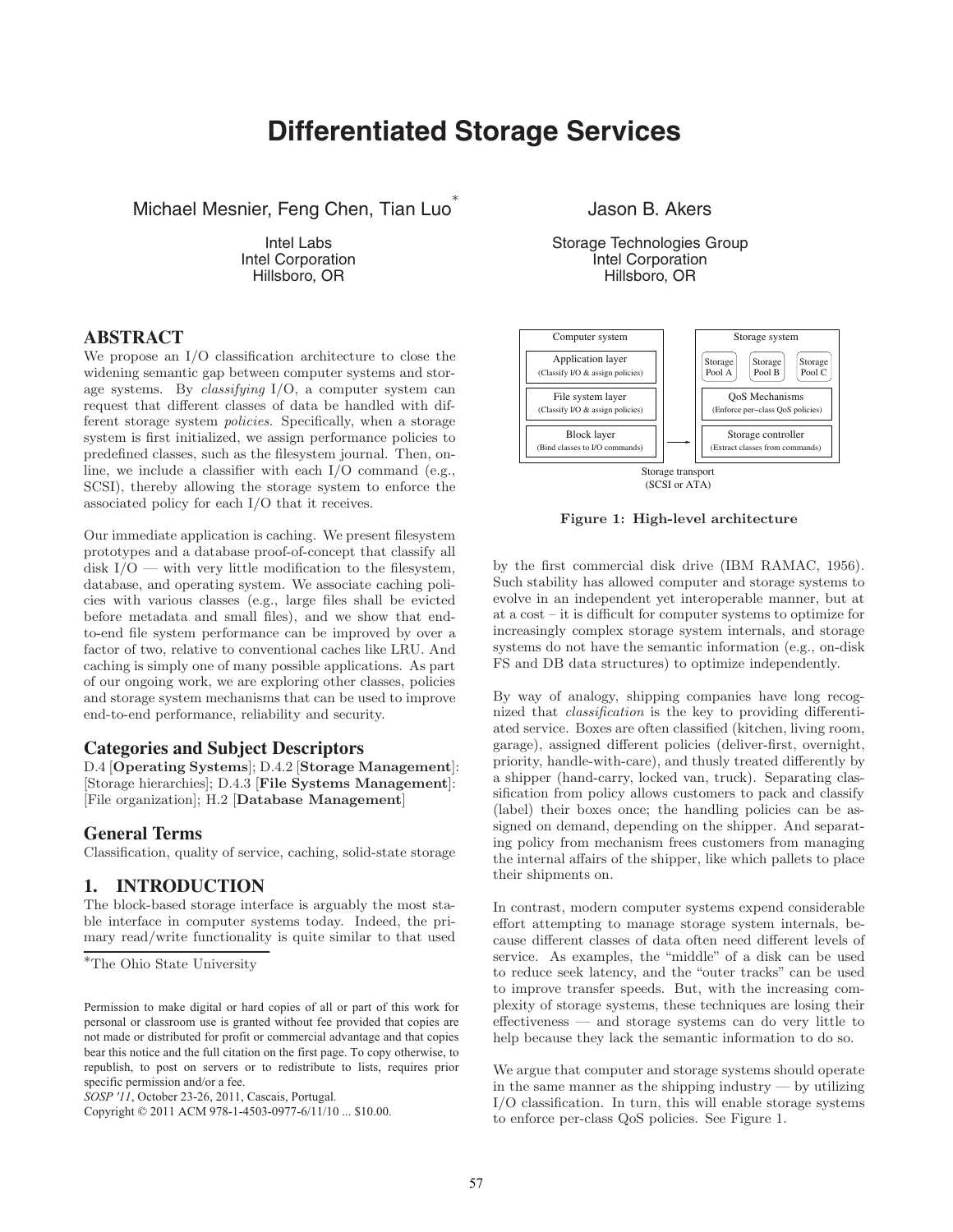# **Differentiated Storage Services**

Michael Mesnier, Feng Chen, Tian Luo<sup>®</sup>

Intel Labs Intel Corporation Hillsboro, OR

### **ABSTRACT**

We propose an I/O classification architecture to close the widening semantic gap between computer systems and storage systems. By *classifying*  $I/O$ , a computer system can request that different classes of data be handled with different storage system policies. Specifically, when a storage system is first initialized, we assign performance policies to predefined classes, such as the filesystem journal. Then, online, we include a classifier with each I/O command (e.g., SCSI), thereby allowing the storage system to enforce the associated policy for each I/O that it receives.

Our immediate application is caching. We present filesystem prototypes and a database proof-of-concept that classify all disk  $I/O$  — with very little modification to the filesystem, database, and operating system. We associate caching policies with various classes (e.g., large files shall be evicted before metadata and small files), and we show that endto-end file system performance can be improved by over a factor of two, relative to conventional caches like LRU. And caching is simply one of many possible applications. As part of our ongoing work, we are exploring other classes, policies and storage system mechanisms that can be used to improve end-to-end performance, reliability and security.

### **Categories and Subject Descriptors**

D.4 [**Operating Systems**]; D.4.2 [**Storage Management**]: [Storage hierarchies]; D.4.3 [**File Systems Management**]: [File organization]; H.2 [**Database Management**]

### **General Terms**

Classification, quality of service, caching, solid-state storage

# **1. INTRODUCTION**

The block-based storage interface is arguably the most stable interface in computer systems today. Indeed, the primary read/write functionality is quite similar to that used

*SOSP '11*, October 23-26, 2011, Cascais, Portugal.

Jason B. Akers

Storage Technologies Group Intel Corporation Hillsboro, OR



**Figure 1: High-level architecture**

by the first commercial disk drive (IBM RAMAC, 1956). Such stability has allowed computer and storage systems to evolve in an independent yet interoperable manner, but at at a cost – it is difficult for computer systems to optimize for increasingly complex storage system internals, and storage systems do not have the semantic information (e.g., on-disk FS and DB data structures) to optimize independently.

By way of analogy, shipping companies have long recognized that classification is the key to providing differentiated service. Boxes are often classified (kitchen, living room, garage), assigned different policies (deliver-first, overnight, priority, handle-with-care), and thusly treated differently by a shipper (hand-carry, locked van, truck). Separating classification from policy allows customers to pack and classify (label) their boxes once; the handling policies can be assigned on demand, depending on the shipper. And separating policy from mechanism frees customers from managing the internal affairs of the shipper, like which pallets to place their shipments on.

In contrast, modern computer systems expend considerable effort attempting to manage storage system internals, because different classes of data often need different levels of service. As examples, the "middle" of a disk can be used to reduce seek latency, and the "outer tracks" can be used to improve transfer speeds. But, with the increasing complexity of storage systems, these techniques are losing their effectiveness — and storage systems can do very little to help because they lack the semantic information to do so.

We argue that computer and storage systems should operate in the same manner as the shipping industry — by utilizing I/O classification. In turn, this will enable storage systems to enforce per-class QoS policies. See Figure 1.

<sup>∗</sup>The Ohio State University

Permission to make digital or hard copies of all or part of this work for personal or classroom use is granted without fee provided that copies are not made or distributed for profit or commercial advantage and that copies bear this notice and the full citation on the first page. To copy otherwise, to republish, to post on servers or to redistribute to lists, requires prior specific permission and/or a fee.

Copyright © 2011 ACM 978-1-4503-0977-6/11/10 ... \$10.00.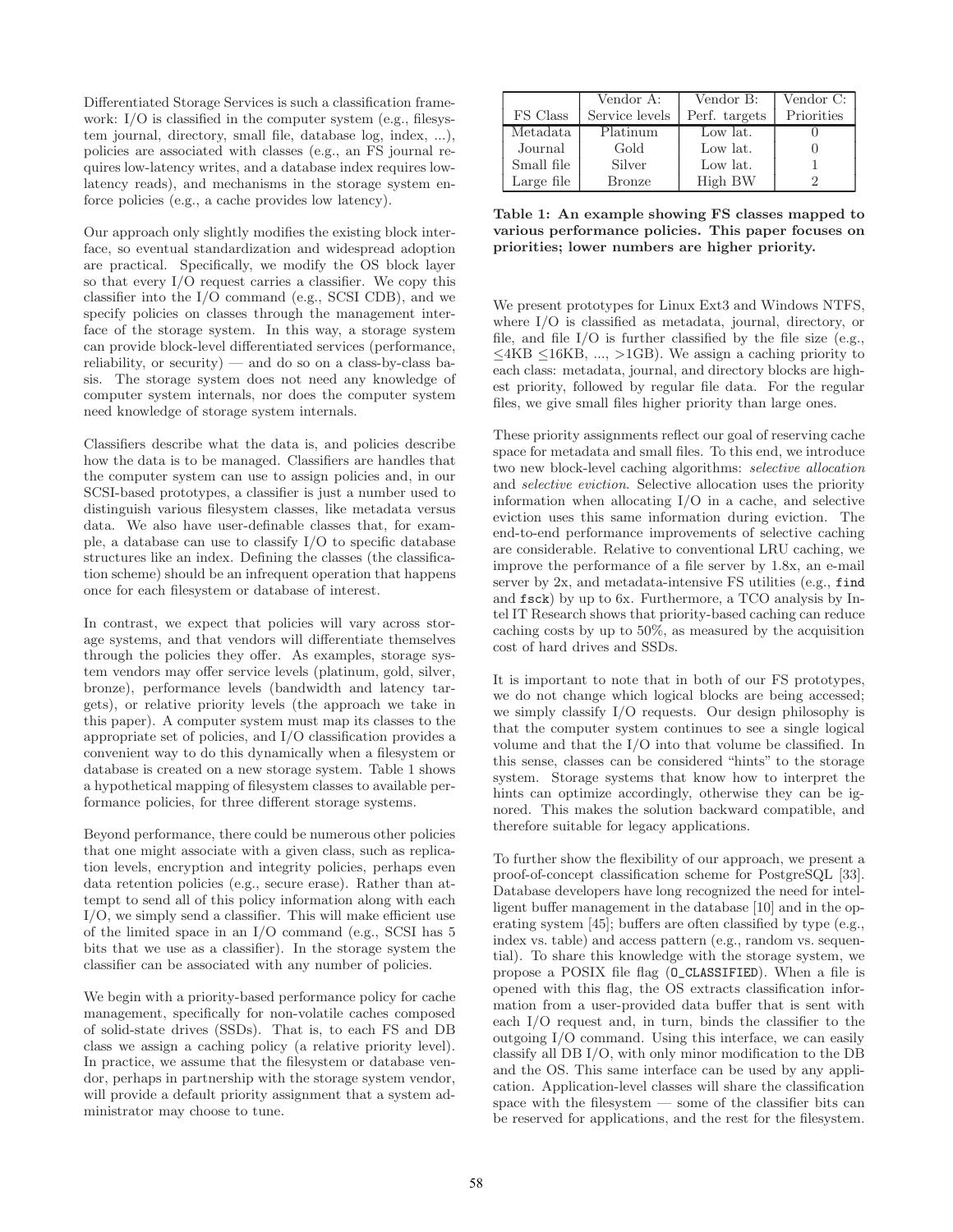Differentiated Storage Services is such a classification framework: I/O is classified in the computer system (e.g., filesystem journal, directory, small file, database log, index, ...), policies are associated with classes (e.g., an FS journal requires low-latency writes, and a database index requires lowlatency reads), and mechanisms in the storage system enforce policies (e.g., a cache provides low latency).

Our approach only slightly modifies the existing block interface, so eventual standardization and widespread adoption are practical. Specifically, we modify the OS block layer so that every I/O request carries a classifier. We copy this classifier into the I/O command (e.g., SCSI CDB), and we specify policies on classes through the management interface of the storage system. In this way, a storage system can provide block-level differentiated services (performance, reliability, or security) — and do so on a class-by-class basis. The storage system does not need any knowledge of computer system internals, nor does the computer system need knowledge of storage system internals.

Classifiers describe what the data is, and policies describe how the data is to be managed. Classifiers are handles that the computer system can use to assign policies and, in our SCSI-based prototypes, a classifier is just a number used to distinguish various filesystem classes, like metadata versus data. We also have user-definable classes that, for example, a database can use to classify I/O to specific database structures like an index. Defining the classes (the classification scheme) should be an infrequent operation that happens once for each filesystem or database of interest.

In contrast, we expect that policies will vary across storage systems, and that vendors will differentiate themselves through the policies they offer. As examples, storage system vendors may offer service levels (platinum, gold, silver, bronze), performance levels (bandwidth and latency targets), or relative priority levels (the approach we take in this paper). A computer system must map its classes to the appropriate set of policies, and I/O classification provides a convenient way to do this dynamically when a filesystem or database is created on a new storage system. Table 1 shows a hypothetical mapping of filesystem classes to available performance policies, for three different storage systems.

Beyond performance, there could be numerous other policies that one might associate with a given class, such as replication levels, encryption and integrity policies, perhaps even data retention policies (e.g., secure erase). Rather than attempt to send all of this policy information along with each I/O, we simply send a classifier. This will make efficient use of the limited space in an I/O command (e.g., SCSI has 5 bits that we use as a classifier). In the storage system the classifier can be associated with any number of policies.

We begin with a priority-based performance policy for cache management, specifically for non-volatile caches composed of solid-state drives (SSDs). That is, to each FS and DB class we assign a caching policy (a relative priority level). In practice, we assume that the filesystem or database vendor, perhaps in partnership with the storage system vendor, will provide a default priority assignment that a system administrator may choose to tune.

|            | Vendor A:      | Vendor B:     | Vendor C:  |
|------------|----------------|---------------|------------|
| FS Class   | Service levels | Perf. targets | Priorities |
| Metadata   | Platinum       | Low lat.      |            |
| Journal    | Gold           | Low lat.      |            |
| Small file | Silver         | Low lat.      |            |
| Large file | <b>Bronze</b>  | High BW       |            |

**Table 1: An example showing FS classes mapped to various performance policies. This paper focuses on priorities; lower numbers are higher priority.**

We present prototypes for Linux Ext3 and Windows NTFS, where I/O is classified as metadata, journal, directory, or file, and file I/O is further classified by the file size (e.g.,  $\leq$ 4KB  $\leq$ 16KB, ..., >1GB). We assign a caching priority to each class: metadata, journal, and directory blocks are highest priority, followed by regular file data. For the regular files, we give small files higher priority than large ones.

These priority assignments reflect our goal of reserving cache space for metadata and small files. To this end, we introduce two new block-level caching algorithms: selective allocation and selective eviction. Selective allocation uses the priority information when allocating I/O in a cache, and selective eviction uses this same information during eviction. The end-to-end performance improvements of selective caching are considerable. Relative to conventional LRU caching, we improve the performance of a file server by 1.8x, an e-mail server by 2x, and metadata-intensive FS utilities (e.g., find and fsck) by up to 6x. Furthermore, a TCO analysis by Intel IT Research shows that priority-based caching can reduce caching costs by up to 50%, as measured by the acquisition cost of hard drives and SSDs.

It is important to note that in both of our FS prototypes, we do not change which logical blocks are being accessed; we simply classify I/O requests. Our design philosophy is that the computer system continues to see a single logical volume and that the I/O into that volume be classified. In this sense, classes can be considered "hints" to the storage system. Storage systems that know how to interpret the hints can optimize accordingly, otherwise they can be ignored. This makes the solution backward compatible, and therefore suitable for legacy applications.

To further show the flexibility of our approach, we present a proof-of-concept classification scheme for PostgreSQL [33]. Database developers have long recognized the need for intelligent buffer management in the database [10] and in the operating system [45]; buffers are often classified by type (e.g., index vs. table) and access pattern (e.g., random vs. sequential). To share this knowledge with the storage system, we propose a POSIX file flag (O\_CLASSIFIED). When a file is opened with this flag, the OS extracts classification information from a user-provided data buffer that is sent with each I/O request and, in turn, binds the classifier to the outgoing I/O command. Using this interface, we can easily classify all DB I/O, with only minor modification to the DB and the OS. This same interface can be used by any application. Application-level classes will share the classification space with the filesystem — some of the classifier bits can be reserved for applications, and the rest for the filesystem.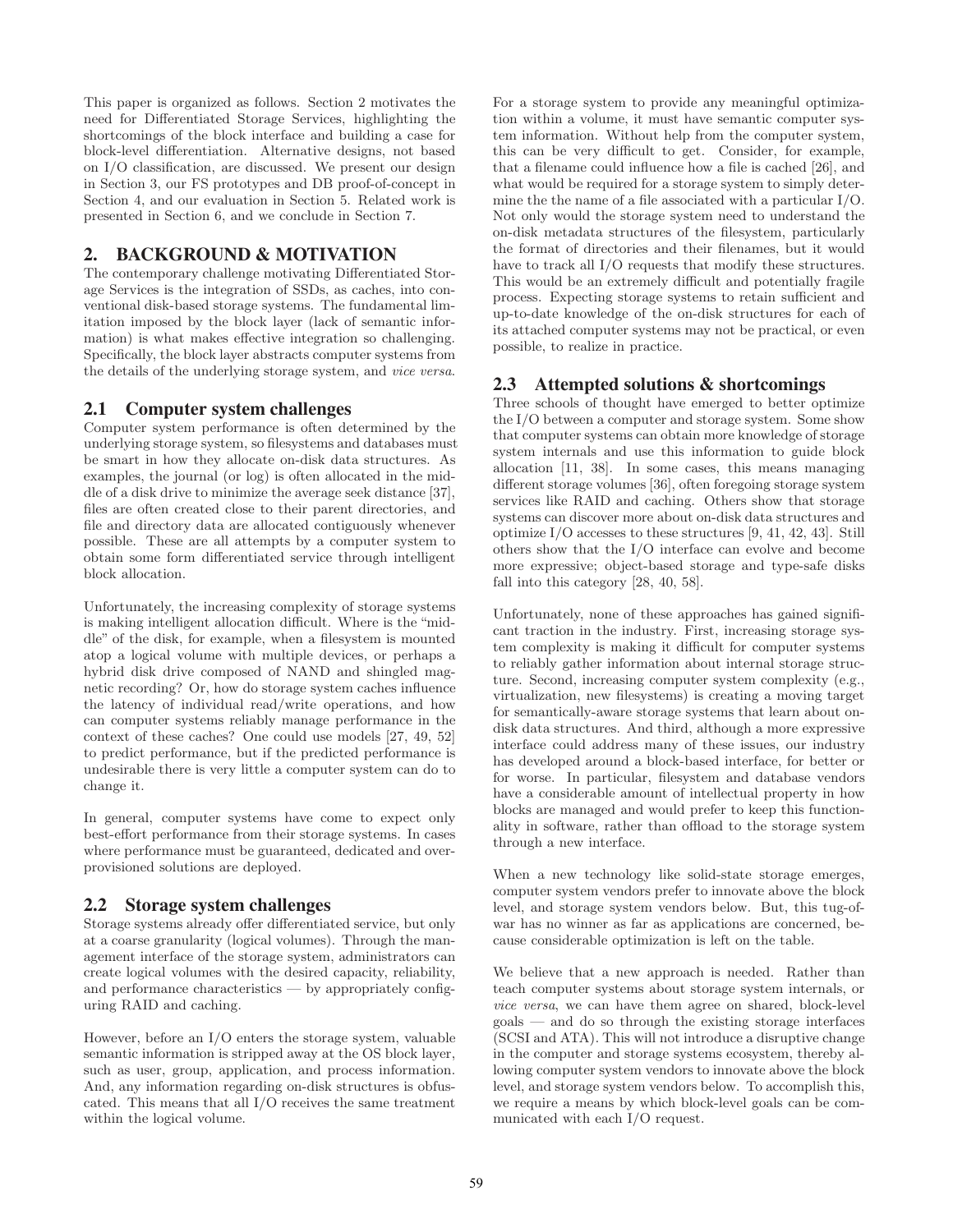This paper is organized as follows. Section 2 motivates the need for Differentiated Storage Services, highlighting the shortcomings of the block interface and building a case for block-level differentiation. Alternative designs, not based on I/O classification, are discussed. We present our design in Section 3, our FS prototypes and DB proof-of-concept in Section 4, and our evaluation in Section 5. Related work is presented in Section 6, and we conclude in Section 7.

# **2. BACKGROUND & MOTIVATION**

The contemporary challenge motivating Differentiated Storage Services is the integration of SSDs, as caches, into conventional disk-based storage systems. The fundamental limitation imposed by the block layer (lack of semantic information) is what makes effective integration so challenging. Specifically, the block layer abstracts computer systems from the details of the underlying storage system, and vice versa.

#### **2.1 Computer system challenges**

Computer system performance is often determined by the underlying storage system, so filesystems and databases must be smart in how they allocate on-disk data structures. As examples, the journal (or log) is often allocated in the middle of a disk drive to minimize the average seek distance [37], files are often created close to their parent directories, and file and directory data are allocated contiguously whenever possible. These are all attempts by a computer system to obtain some form differentiated service through intelligent block allocation.

Unfortunately, the increasing complexity of storage systems is making intelligent allocation difficult. Where is the "middle" of the disk, for example, when a filesystem is mounted atop a logical volume with multiple devices, or perhaps a hybrid disk drive composed of NAND and shingled magnetic recording? Or, how do storage system caches influence the latency of individual read/write operations, and how can computer systems reliably manage performance in the context of these caches? One could use models [27, 49, 52] to predict performance, but if the predicted performance is undesirable there is very little a computer system can do to change it.

In general, computer systems have come to expect only best-effort performance from their storage systems. In cases where performance must be guaranteed, dedicated and overprovisioned solutions are deployed.

#### **2.2 Storage system challenges**

Storage systems already offer differentiated service, but only at a coarse granularity (logical volumes). Through the management interface of the storage system, administrators can create logical volumes with the desired capacity, reliability, and performance characteristics — by appropriately configuring RAID and caching.

However, before an I/O enters the storage system, valuable semantic information is stripped away at the OS block layer, such as user, group, application, and process information. And, any information regarding on-disk structures is obfuscated. This means that all I/O receives the same treatment within the logical volume.

For a storage system to provide any meaningful optimization within a volume, it must have semantic computer system information. Without help from the computer system, this can be very difficult to get. Consider, for example, that a filename could influence how a file is cached [26], and what would be required for a storage system to simply determine the the name of a file associated with a particular I/O. Not only would the storage system need to understand the on-disk metadata structures of the filesystem, particularly the format of directories and their filenames, but it would have to track all I/O requests that modify these structures. This would be an extremely difficult and potentially fragile process. Expecting storage systems to retain sufficient and up-to-date knowledge of the on-disk structures for each of its attached computer systems may not be practical, or even possible, to realize in practice.

### **2.3 Attempted solutions & shortcomings**

Three schools of thought have emerged to better optimize the I/O between a computer and storage system. Some show that computer systems can obtain more knowledge of storage system internals and use this information to guide block allocation [11, 38]. In some cases, this means managing different storage volumes [36], often foregoing storage system services like RAID and caching. Others show that storage systems can discover more about on-disk data structures and optimize I/O accesses to these structures [9, 41, 42, 43]. Still others show that the I/O interface can evolve and become more expressive; object-based storage and type-safe disks fall into this category [28, 40, 58].

Unfortunately, none of these approaches has gained significant traction in the industry. First, increasing storage system complexity is making it difficult for computer systems to reliably gather information about internal storage structure. Second, increasing computer system complexity (e.g., virtualization, new filesystems) is creating a moving target for semantically-aware storage systems that learn about ondisk data structures. And third, although a more expressive interface could address many of these issues, our industry has developed around a block-based interface, for better or for worse. In particular, filesystem and database vendors have a considerable amount of intellectual property in how blocks are managed and would prefer to keep this functionality in software, rather than offload to the storage system through a new interface.

When a new technology like solid-state storage emerges, computer system vendors prefer to innovate above the block level, and storage system vendors below. But, this tug-ofwar has no winner as far as applications are concerned, because considerable optimization is left on the table.

We believe that a new approach is needed. Rather than teach computer systems about storage system internals, or vice versa, we can have them agree on shared, block-level goals — and do so through the existing storage interfaces (SCSI and ATA). This will not introduce a disruptive change in the computer and storage systems ecosystem, thereby allowing computer system vendors to innovate above the block level, and storage system vendors below. To accomplish this, we require a means by which block-level goals can be communicated with each I/O request.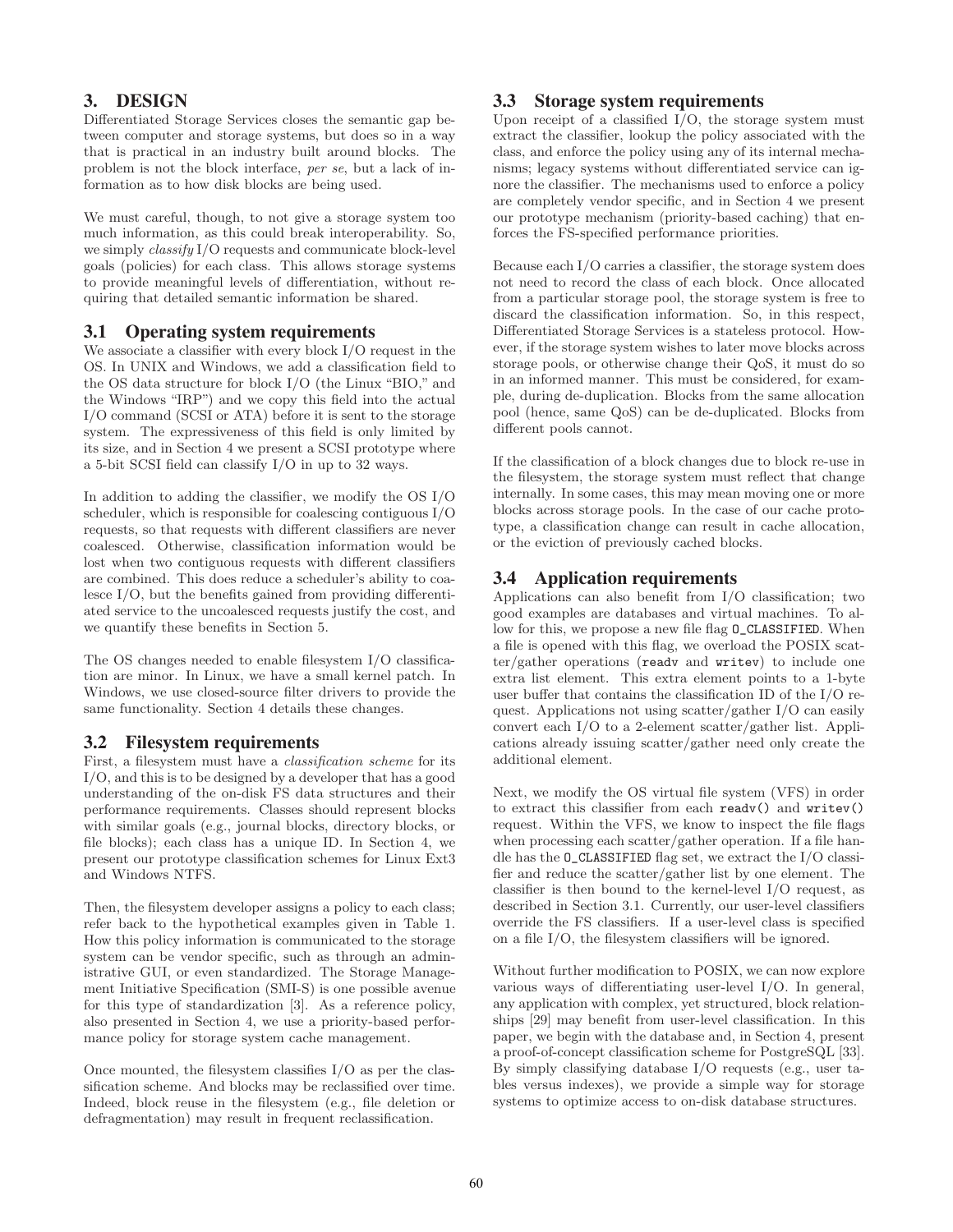# **3. DESIGN**

Differentiated Storage Services closes the semantic gap between computer and storage systems, but does so in a way that is practical in an industry built around blocks. The problem is not the block interface, per se, but a lack of information as to how disk blocks are being used.

We must careful, though, to not give a storage system too much information, as this could break interoperability. So, we simply classify I/O requests and communicate block-level goals (policies) for each class. This allows storage systems to provide meaningful levels of differentiation, without requiring that detailed semantic information be shared.

### **3.1 Operating system requirements**

We associate a classifier with every block I/O request in the OS. In UNIX and Windows, we add a classification field to the OS data structure for block I/O (the Linux "BIO," and the Windows "IRP") and we copy this field into the actual I/O command (SCSI or ATA) before it is sent to the storage system. The expressiveness of this field is only limited by its size, and in Section 4 we present a SCSI prototype where a 5-bit SCSI field can classify I/O in up to 32 ways.

In addition to adding the classifier, we modify the OS I/O scheduler, which is responsible for coalescing contiguous I/O requests, so that requests with different classifiers are never coalesced. Otherwise, classification information would be lost when two contiguous requests with different classifiers are combined. This does reduce a scheduler's ability to coalesce I/O, but the benefits gained from providing differentiated service to the uncoalesced requests justify the cost, and we quantify these benefits in Section 5.

The OS changes needed to enable filesystem I/O classification are minor. In Linux, we have a small kernel patch. In Windows, we use closed-source filter drivers to provide the same functionality. Section 4 details these changes.

### **3.2 Filesystem requirements**

First, a filesystem must have a classification scheme for its I/O, and this is to be designed by a developer that has a good understanding of the on-disk FS data structures and their performance requirements. Classes should represent blocks with similar goals (e.g., journal blocks, directory blocks, or file blocks); each class has a unique ID. In Section 4, we present our prototype classification schemes for Linux Ext3 and Windows NTFS.

Then, the filesystem developer assigns a policy to each class; refer back to the hypothetical examples given in Table 1. How this policy information is communicated to the storage system can be vendor specific, such as through an administrative GUI, or even standardized. The Storage Management Initiative Specification (SMI-S) is one possible avenue for this type of standardization [3]. As a reference policy, also presented in Section 4, we use a priority-based performance policy for storage system cache management.

Once mounted, the filesystem classifies I/O as per the classification scheme. And blocks may be reclassified over time. Indeed, block reuse in the filesystem (e.g., file deletion or defragmentation) may result in frequent reclassification.

#### **3.3 Storage system requirements**

Upon receipt of a classified I/O, the storage system must extract the classifier, lookup the policy associated with the class, and enforce the policy using any of its internal mechanisms; legacy systems without differentiated service can ignore the classifier. The mechanisms used to enforce a policy are completely vendor specific, and in Section 4 we present our prototype mechanism (priority-based caching) that enforces the FS-specified performance priorities.

Because each I/O carries a classifier, the storage system does not need to record the class of each block. Once allocated from a particular storage pool, the storage system is free to discard the classification information. So, in this respect, Differentiated Storage Services is a stateless protocol. However, if the storage system wishes to later move blocks across storage pools, or otherwise change their QoS, it must do so in an informed manner. This must be considered, for example, during de-duplication. Blocks from the same allocation pool (hence, same QoS) can be de-duplicated. Blocks from different pools cannot.

If the classification of a block changes due to block re-use in the filesystem, the storage system must reflect that change internally. In some cases, this may mean moving one or more blocks across storage pools. In the case of our cache prototype, a classification change can result in cache allocation, or the eviction of previously cached blocks.

### **3.4 Application requirements**

Applications can also benefit from I/O classification; two good examples are databases and virtual machines. To allow for this, we propose a new file flag  $O\_CLASSIFIED.$  When a file is opened with this flag, we overload the POSIX scatter/gather operations (readv and writev) to include one extra list element. This extra element points to a 1-byte user buffer that contains the classification ID of the I/O request. Applications not using scatter/gather I/O can easily convert each I/O to a 2-element scatter/gather list. Applications already issuing scatter/gather need only create the additional element.

Next, we modify the OS virtual file system (VFS) in order to extract this classifier from each readv() and writev() request. Within the VFS, we know to inspect the file flags when processing each scatter/gather operation. If a file handle has the O\_CLASSIFIED flag set, we extract the I/O classifier and reduce the scatter/gather list by one element. The classifier is then bound to the kernel-level I/O request, as described in Section 3.1. Currently, our user-level classifiers override the FS classifiers. If a user-level class is specified on a file I/O, the filesystem classifiers will be ignored.

Without further modification to POSIX, we can now explore various ways of differentiating user-level I/O. In general, any application with complex, yet structured, block relationships [29] may benefit from user-level classification. In this paper, we begin with the database and, in Section 4, present a proof-of-concept classification scheme for PostgreSQL [33]. By simply classifying database I/O requests (e.g., user tables versus indexes), we provide a simple way for storage systems to optimize access to on-disk database structures.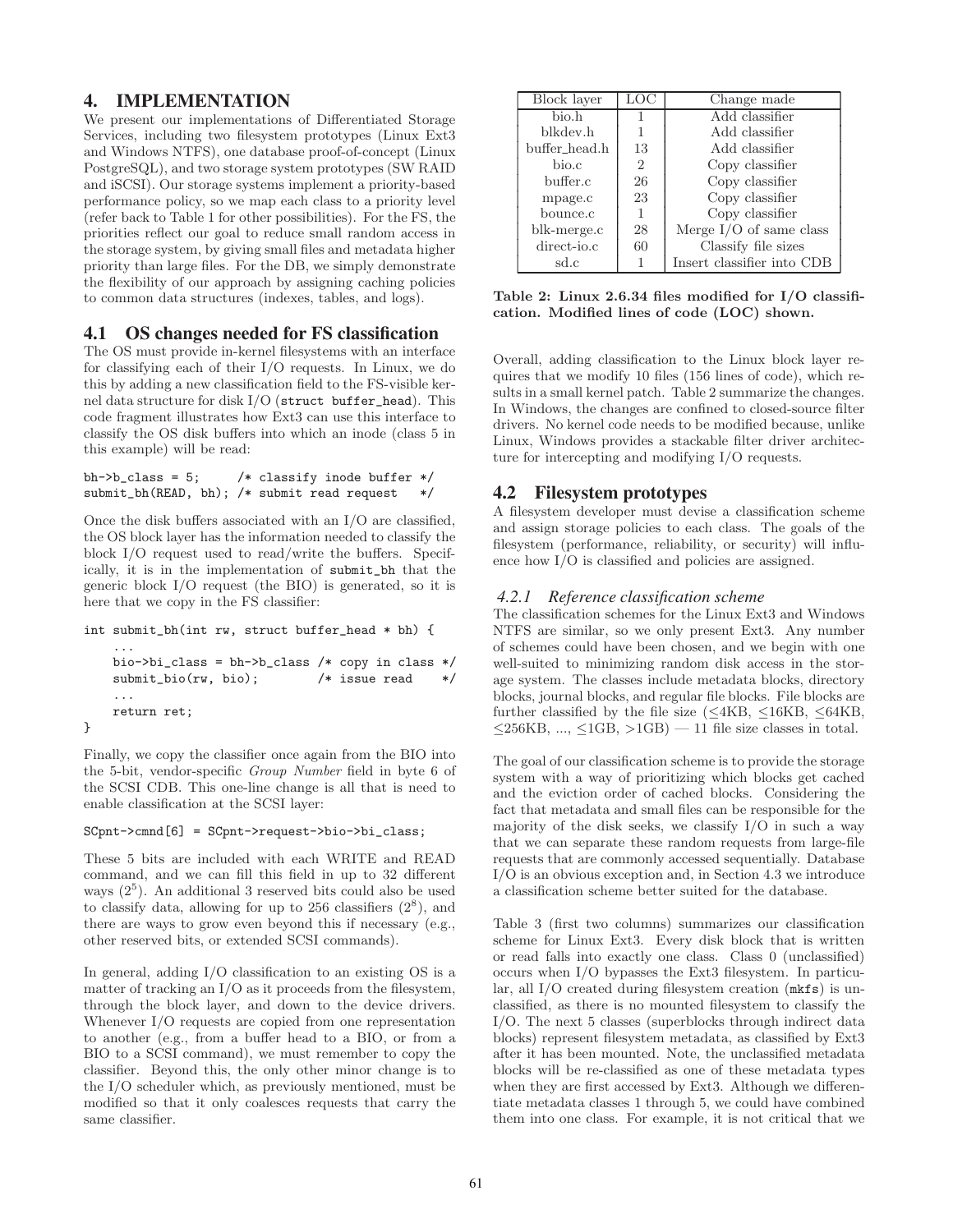# **4. IMPLEMENTATION**

We present our implementations of Differentiated Storage Services, including two filesystem prototypes (Linux Ext3 and Windows NTFS), one database proof-of-concept (Linux PostgreSQL), and two storage system prototypes (SW RAID and iSCSI). Our storage systems implement a priority-based performance policy, so we map each class to a priority level (refer back to Table 1 for other possibilities). For the FS, the priorities reflect our goal to reduce small random access in the storage system, by giving small files and metadata higher priority than large files. For the DB, we simply demonstrate the flexibility of our approach by assigning caching policies to common data structures (indexes, tables, and logs).

# **4.1 OS changes needed for FS classification**

The OS must provide in-kernel filesystems with an interface for classifying each of their I/O requests. In Linux, we do this by adding a new classification field to the FS-visible kernel data structure for disk I/O (struct buffer\_head). This code fragment illustrates how Ext3 can use this interface to classify the OS disk buffers into which an inode (class 5 in this example) will be read:

```
bh->b_class = 5; /* classify inode buffer */
submit_bh(READ, bh); /* submit read request */
```
Once the disk buffers associated with an I/O are classified, the OS block layer has the information needed to classify the block I/O request used to read/write the buffers. Specifically, it is in the implementation of submit\_bh that the generic block I/O request (the BIO) is generated, so it is here that we copy in the FS classifier:

```
int submit_bh(int rw, struct buffer_head * bh) {
    ...
   bio->bi_class = bh->b_class /* copy in class */
   submit_bio(rw, bio); /* issue read */
    ...
   return ret;
}
```
Finally, we copy the classifier once again from the BIO into the 5-bit, vendor-specific Group Number field in byte 6 of the SCSI CDB. This one-line change is all that is need to enable classification at the SCSI layer:

### SCpnt->cmnd[6] = SCpnt->request->bio->bi\_class;

These 5 bits are included with each WRITE and READ command, and we can fill this field in up to 32 different ways  $(2^5)$ . An additional 3 reserved bits could also be used to classify data, allowing for up to 256 classifiers  $(2^8)$ , and there are ways to grow even beyond this if necessary (e.g., other reserved bits, or extended SCSI commands).

In general, adding I/O classification to an existing OS is a matter of tracking an I/O as it proceeds from the filesystem, through the block layer, and down to the device drivers. Whenever I/O requests are copied from one representation to another (e.g., from a buffer head to a BIO, or from a BIO to a SCSI command), we must remember to copy the classifier. Beyond this, the only other minor change is to the I/O scheduler which, as previously mentioned, must be modified so that it only coalesces requests that carry the same classifier.

| Block layer   |                | Change made                |
|---------------|----------------|----------------------------|
| bio.h         |                | Add classifier             |
| blkdev.h      |                | Add classifier             |
| buffer_head.h | 13             | Add classifier             |
| bio.c         | $\overline{2}$ | Copy classifier            |
| buffer.c      | 26             | Copy classifier            |
| mpage.c       | 23             | Copy classifier            |
| bounce.c      |                | Copy classifier            |
| blk-merge.c   | 28             | Merge $I/O$ of same class  |
| direct-io.c   | 60             | Classify file sizes        |
| sd.c          |                | Insert classifier into CDB |

**Table 2: Linux 2.6.34 files modified for I/O classification. Modified lines of code (LOC) shown.**

Overall, adding classification to the Linux block layer requires that we modify 10 files (156 lines of code), which results in a small kernel patch. Table 2 summarize the changes. In Windows, the changes are confined to closed-source filter drivers. No kernel code needs to be modified because, unlike Linux, Windows provides a stackable filter driver architecture for intercepting and modifying I/O requests.

# **4.2 Filesystem prototypes**

A filesystem developer must devise a classification scheme and assign storage policies to each class. The goals of the filesystem (performance, reliability, or security) will influence how I/O is classified and policies are assigned.

# *4.2.1 Reference classification scheme*

The classification schemes for the Linux Ext3 and Windows NTFS are similar, so we only present Ext3. Any number of schemes could have been chosen, and we begin with one well-suited to minimizing random disk access in the storage system. The classes include metadata blocks, directory blocks, journal blocks, and regular file blocks. File blocks are further classified by the file size ( $\leq$ 4KB,  $\leq$ 16KB,  $\leq$ 64KB,  $\leq$ 256KB, ...,  $\leq$ 1GB,  $>$ 1GB) — 11 file size classes in total.

The goal of our classification scheme is to provide the storage system with a way of prioritizing which blocks get cached and the eviction order of cached blocks. Considering the fact that metadata and small files can be responsible for the majority of the disk seeks, we classify  $I/O$  in such a way that we can separate these random requests from large-file requests that are commonly accessed sequentially. Database I/O is an obvious exception and, in Section 4.3 we introduce a classification scheme better suited for the database.

Table 3 (first two columns) summarizes our classification scheme for Linux Ext3. Every disk block that is written or read falls into exactly one class. Class 0 (unclassified) occurs when I/O bypasses the Ext3 filesystem. In particular, all I/O created during filesystem creation (mkfs) is unclassified, as there is no mounted filesystem to classify the I/O. The next 5 classes (superblocks through indirect data blocks) represent filesystem metadata, as classified by Ext3 after it has been mounted. Note, the unclassified metadata blocks will be re-classified as one of these metadata types when they are first accessed by Ext3. Although we differentiate metadata classes 1 through 5, we could have combined them into one class. For example, it is not critical that we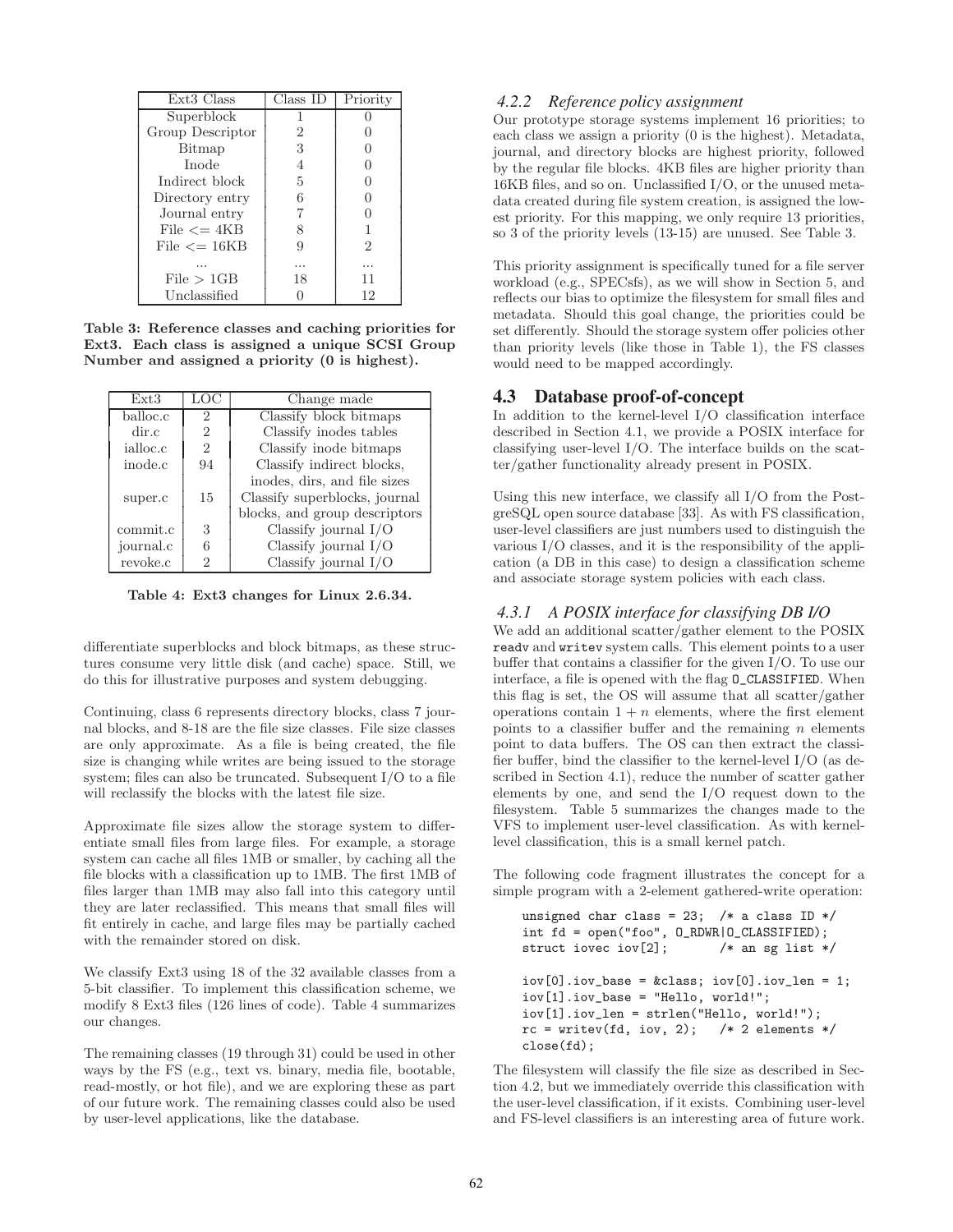| Ext <sub>3</sub> Class | Class ID | Priority |
|------------------------|----------|----------|
| Superblock             |          |          |
| Group Descriptor       | 2        |          |
| Bitmap                 | 3        |          |
| Inode                  |          |          |
| Indirect block         | 5        |          |
| Directory entry        | 6        |          |
| Journal entry          |          |          |
| File $\epsilon = 4KB$  |          |          |
| File $\epsilon = 16KB$ |          | 2        |
|                        |          |          |
| File > 1GB             | 18       | 11       |
| Unclassified           |          | 12       |

**Table 3: Reference classes and caching priorities for Ext3. Each class is assigned a unique SCSI Group Number and assigned a priority (0 is highest).**

| Ext3      |                | Change made                   |
|-----------|----------------|-------------------------------|
| balloc.c  | $\overline{2}$ | Classify block bitmaps        |
| dir.c     | $\overline{2}$ | Classify incodes tables       |
| ialloc.c  | $\mathfrak{D}$ | Classify in ode bitmaps       |
| inode.c   | 94             | Classify indirect blocks,     |
|           |                | inodes, dirs, and file sizes  |
| super.c   | 15             | Classify superblocks, journal |
|           |                | blocks, and group descriptors |
| commit.c  | 3              | Classify journal $I/O$        |
| journal.c | 6              | Classify journal $I/O$        |
| revoke.c  | 2              | Classify journal $I/O$        |

**Table 4: Ext3 changes for Linux 2.6.34.**

differentiate superblocks and block bitmaps, as these structures consume very little disk (and cache) space. Still, we do this for illustrative purposes and system debugging.

Continuing, class 6 represents directory blocks, class 7 journal blocks, and 8-18 are the file size classes. File size classes are only approximate. As a file is being created, the file size is changing while writes are being issued to the storage system; files can also be truncated. Subsequent I/O to a file will reclassify the blocks with the latest file size.

Approximate file sizes allow the storage system to differentiate small files from large files. For example, a storage system can cache all files 1MB or smaller, by caching all the file blocks with a classification up to 1MB. The first 1MB of files larger than 1MB may also fall into this category until they are later reclassified. This means that small files will fit entirely in cache, and large files may be partially cached with the remainder stored on disk.

We classify Ext3 using 18 of the 32 available classes from a 5-bit classifier. To implement this classification scheme, we modify 8 Ext3 files (126 lines of code). Table 4 summarizes our changes.

The remaining classes (19 through 31) could be used in other ways by the FS (e.g., text vs. binary, media file, bootable, read-mostly, or hot file), and we are exploring these as part of our future work. The remaining classes could also be used by user-level applications, like the database.

### *4.2.2 Reference policy assignment*

Our prototype storage systems implement 16 priorities; to each class we assign a priority (0 is the highest). Metadata, journal, and directory blocks are highest priority, followed by the regular file blocks. 4KB files are higher priority than 16KB files, and so on. Unclassified I/O, or the unused metadata created during file system creation, is assigned the lowest priority. For this mapping, we only require 13 priorities, so 3 of the priority levels (13-15) are unused. See Table 3.

This priority assignment is specifically tuned for a file server workload (e.g., SPECsfs), as we will show in Section 5, and reflects our bias to optimize the filesystem for small files and metadata. Should this goal change, the priorities could be set differently. Should the storage system offer policies other than priority levels (like those in Table 1), the FS classes would need to be mapped accordingly.

# **4.3 Database proof-of-concept**

In addition to the kernel-level I/O classification interface described in Section 4.1, we provide a POSIX interface for classifying user-level I/O. The interface builds on the scatter/gather functionality already present in POSIX.

Using this new interface, we classify all I/O from the PostgreSQL open source database [33]. As with FS classification, user-level classifiers are just numbers used to distinguish the various I/O classes, and it is the responsibility of the application (a DB in this case) to design a classification scheme and associate storage system policies with each class.

### *4.3.1 A POSIX interface for classifying DB I/O*

We add an additional scatter/gather element to the POSIX readv and writev system calls. This element points to a user buffer that contains a classifier for the given I/O. To use our interface, a file is opened with the flag O\_CLASSIFIED. When this flag is set, the OS will assume that all scatter/gather operations contain  $1 + n$  elements, where the first element points to a classifier buffer and the remaining  $n$  elements point to data buffers. The OS can then extract the classifier buffer, bind the classifier to the kernel-level I/O (as described in Section 4.1), reduce the number of scatter gather elements by one, and send the I/O request down to the filesystem. Table 5 summarizes the changes made to the VFS to implement user-level classification. As with kernellevel classification, this is a small kernel patch.

The following code fragment illustrates the concept for a simple program with a 2-element gathered-write operation:

```
unsigned char class = 23; /* a class ID */
int fd = open("foo", O_RDWR|O_CLASSIFIED);
struct iovec iov[2]; /* an sg list */
iov[0] .iov_base = & class; iv [0].iov_len = 1;iov[1].iov\_base = "Hello, world!";iov[1].iov_len = strlen("Hello, world!");
rc = \text{writev}(\text{fd}, \text{iov}, 2); /* 2 elements */
close(fd);
```
The filesystem will classify the file size as described in Section 4.2, but we immediately override this classification with the user-level classification, if it exists. Combining user-level and FS-level classifiers is an interesting area of future work.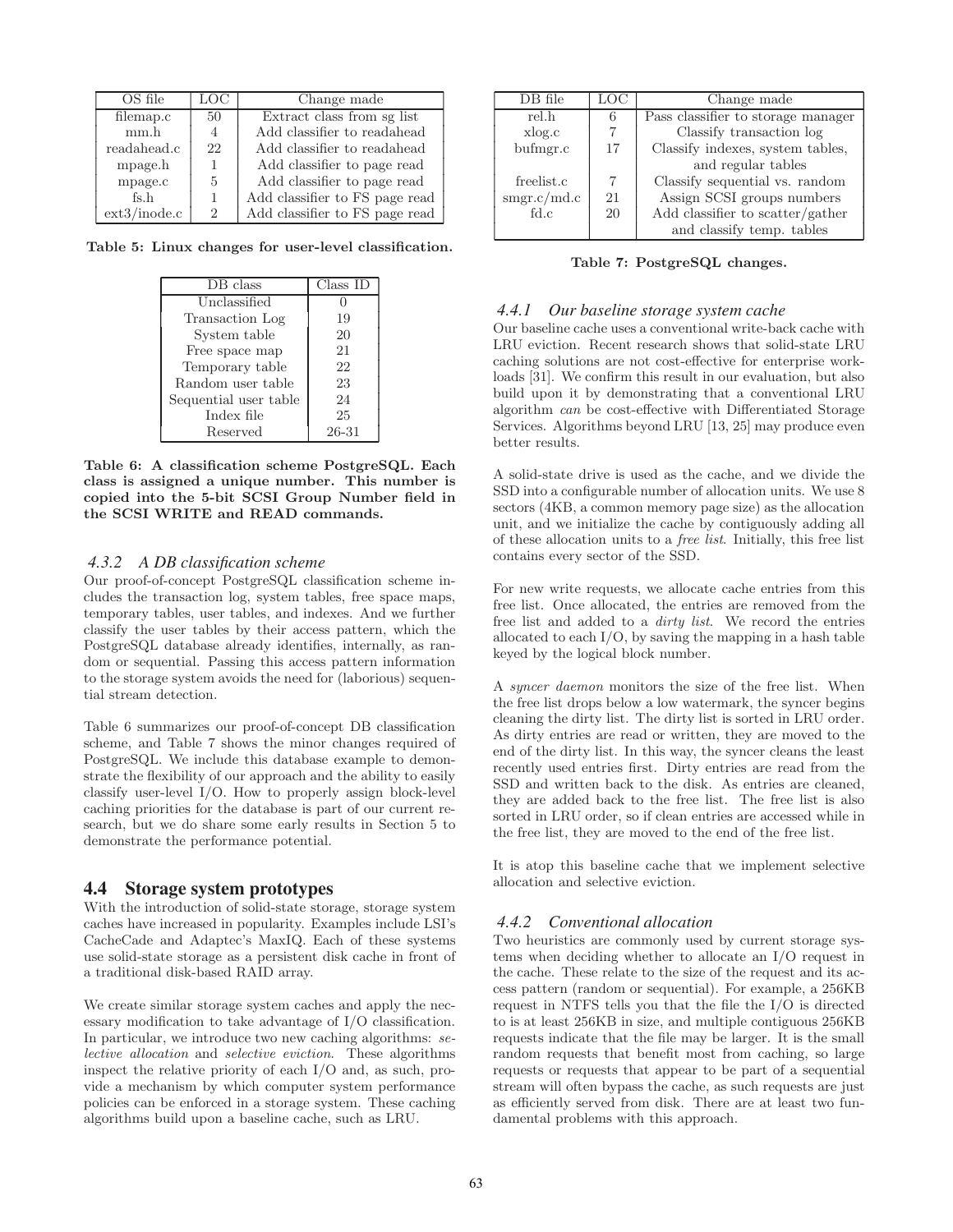| OS file                 |    | Change made                    |
|-------------------------|----|--------------------------------|
| filemap.c               | 50 | Extract class from sg list     |
| mm.h                    | 4  | Add classifier to readahead    |
| readahead.c             | 22 | Add classifier to readahead    |
| mpage.h                 |    | Add classifier to page read    |
| mpage.c                 | 5  | Add classifier to page read    |
| fs.h                    |    | Add classifier to FS page read |
| $ext{3}/\text{inode.c}$ | 2  | Add classifier to FS page read |

**Table 5: Linux changes for user-level classification.**

| DB class              | Class ID |
|-----------------------|----------|
| Unclassified          |          |
| Transaction Log       | 19       |
| System table          | 20       |
| Free space map        | 21       |
| Temporary table       | 22       |
| Random user table     | 23       |
| Sequential user table | 24       |
| Index file            | 25       |
| Reserved              | 26-31    |

**Table 6: A classification scheme PostgreSQL. Each class is assigned a unique number. This number is copied into the 5-bit SCSI Group Number field in the SCSI WRITE and READ commands.**

### *4.3.2 A DB classification scheme*

Our proof-of-concept PostgreSQL classification scheme includes the transaction log, system tables, free space maps, temporary tables, user tables, and indexes. And we further classify the user tables by their access pattern, which the PostgreSQL database already identifies, internally, as random or sequential. Passing this access pattern information to the storage system avoids the need for (laborious) sequential stream detection.

Table 6 summarizes our proof-of-concept DB classification scheme, and Table 7 shows the minor changes required of PostgreSQL. We include this database example to demonstrate the flexibility of our approach and the ability to easily classify user-level I/O. How to properly assign block-level caching priorities for the database is part of our current research, but we do share some early results in Section 5 to demonstrate the performance potential.

#### **4.4 Storage system prototypes**

With the introduction of solid-state storage, storage system caches have increased in popularity. Examples include LSI's CacheCade and Adaptec's MaxIQ. Each of these systems use solid-state storage as a persistent disk cache in front of a traditional disk-based RAID array.

We create similar storage system caches and apply the necessary modification to take advantage of I/O classification. In particular, we introduce two new caching algorithms: selective allocation and selective eviction. These algorithms inspect the relative priority of each I/O and, as such, provide a mechanism by which computer system performance policies can be enforced in a storage system. These caching algorithms build upon a baseline cache, such as LRU.

| DB file      |    | Change made                        |
|--------------|----|------------------------------------|
| rel h        | 6  | Pass classifier to storage manager |
| xlog.c       |    | Classify transaction log           |
| bufmgr.c     | 17 | Classify indexes, system tables,   |
|              |    | and regular tables                 |
| freelist.c   |    | Classify sequential vs. random     |
| smgr.c/mol.c | 21 | Assign SCSI groups numbers         |
| fd.c         | 20 | Add classifier to scatter/gather   |
|              |    | and classify temp. tables          |

**Table 7: PostgreSQL changes.**

#### *4.4.1 Our baseline storage system cache*

Our baseline cache uses a conventional write-back cache with LRU eviction. Recent research shows that solid-state LRU caching solutions are not cost-effective for enterprise workloads [31]. We confirm this result in our evaluation, but also build upon it by demonstrating that a conventional LRU algorithm can be cost-effective with Differentiated Storage Services. Algorithms beyond LRU [13, 25] may produce even better results.

A solid-state drive is used as the cache, and we divide the SSD into a configurable number of allocation units. We use 8 sectors (4KB, a common memory page size) as the allocation unit, and we initialize the cache by contiguously adding all of these allocation units to a free list. Initially, this free list contains every sector of the SSD.

For new write requests, we allocate cache entries from this free list. Once allocated, the entries are removed from the free list and added to a dirty list. We record the entries allocated to each I/O, by saving the mapping in a hash table keyed by the logical block number.

A syncer daemon monitors the size of the free list. When the free list drops below a low watermark, the syncer begins cleaning the dirty list. The dirty list is sorted in LRU order. As dirty entries are read or written, they are moved to the end of the dirty list. In this way, the syncer cleans the least recently used entries first. Dirty entries are read from the SSD and written back to the disk. As entries are cleaned, they are added back to the free list. The free list is also sorted in LRU order, so if clean entries are accessed while in the free list, they are moved to the end of the free list.

It is atop this baseline cache that we implement selective allocation and selective eviction.

#### *4.4.2 Conventional allocation*

Two heuristics are commonly used by current storage systems when deciding whether to allocate an I/O request in the cache. These relate to the size of the request and its access pattern (random or sequential). For example, a 256KB request in NTFS tells you that the file the I/O is directed to is at least 256KB in size, and multiple contiguous 256KB requests indicate that the file may be larger. It is the small random requests that benefit most from caching, so large requests or requests that appear to be part of a sequential stream will often bypass the cache, as such requests are just as efficiently served from disk. There are at least two fundamental problems with this approach.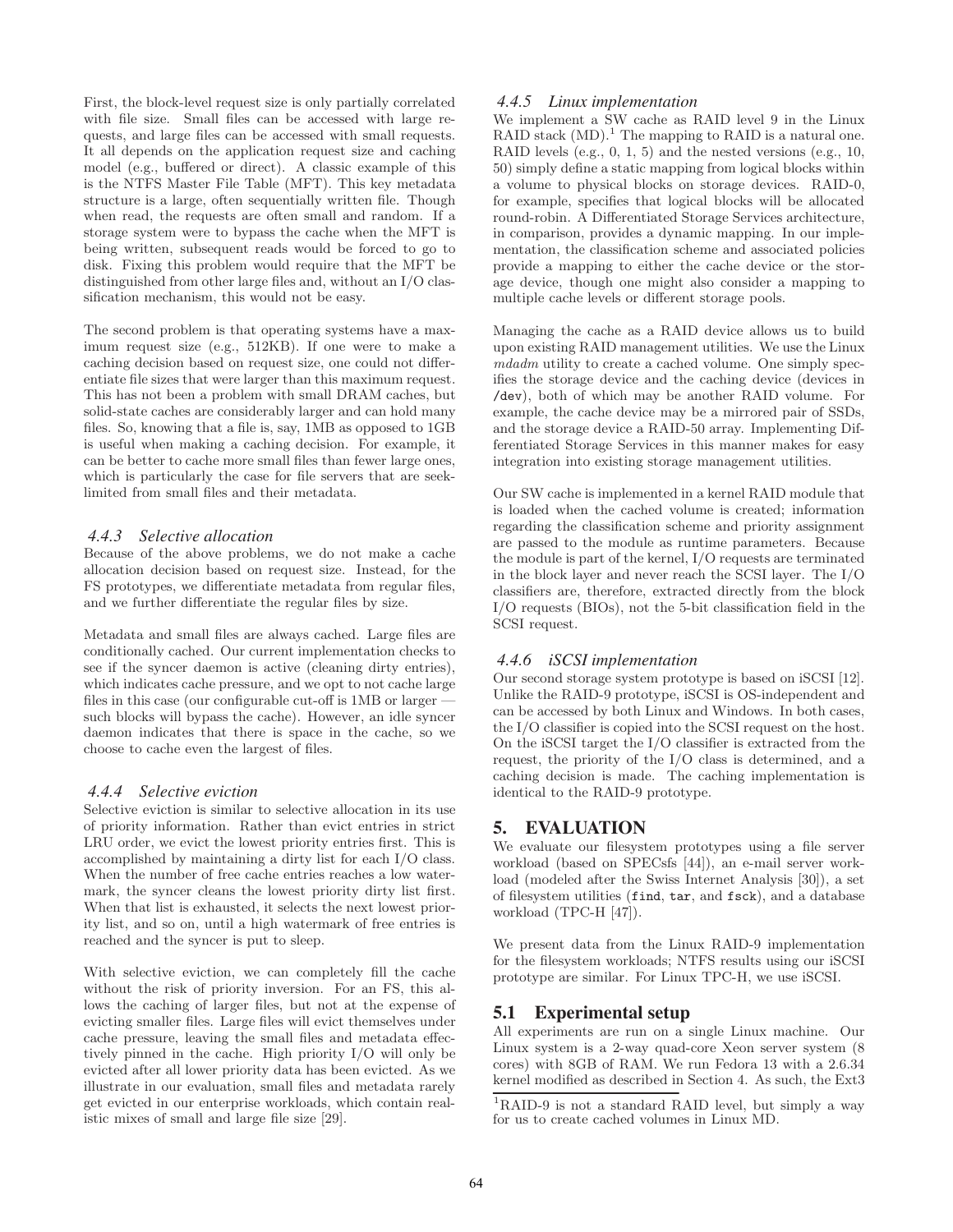First, the block-level request size is only partially correlated with file size. Small files can be accessed with large requests, and large files can be accessed with small requests. It all depends on the application request size and caching model (e.g., buffered or direct). A classic example of this is the NTFS Master File Table (MFT). This key metadata structure is a large, often sequentially written file. Though when read, the requests are often small and random. If a storage system were to bypass the cache when the MFT is being written, subsequent reads would be forced to go to disk. Fixing this problem would require that the MFT be distinguished from other large files and, without an I/O classification mechanism, this would not be easy.

The second problem is that operating systems have a maximum request size (e.g., 512KB). If one were to make a caching decision based on request size, one could not differentiate file sizes that were larger than this maximum request. This has not been a problem with small DRAM caches, but solid-state caches are considerably larger and can hold many files. So, knowing that a file is, say, 1MB as opposed to 1GB is useful when making a caching decision. For example, it can be better to cache more small files than fewer large ones, which is particularly the case for file servers that are seeklimited from small files and their metadata.

### *4.4.3 Selective allocation*

Because of the above problems, we do not make a cache allocation decision based on request size. Instead, for the FS prototypes, we differentiate metadata from regular files, and we further differentiate the regular files by size.

Metadata and small files are always cached. Large files are conditionally cached. Our current implementation checks to see if the syncer daemon is active (cleaning dirty entries), which indicates cache pressure, and we opt to not cache large files in this case (our configurable cut-off is 1MB or larger such blocks will bypass the cache). However, an idle syncer daemon indicates that there is space in the cache, so we choose to cache even the largest of files.

#### *4.4.4 Selective eviction*

Selective eviction is similar to selective allocation in its use of priority information. Rather than evict entries in strict LRU order, we evict the lowest priority entries first. This is accomplished by maintaining a dirty list for each I/O class. When the number of free cache entries reaches a low watermark, the syncer cleans the lowest priority dirty list first. When that list is exhausted, it selects the next lowest priority list, and so on, until a high watermark of free entries is reached and the syncer is put to sleep.

With selective eviction, we can completely fill the cache without the risk of priority inversion. For an FS, this allows the caching of larger files, but not at the expense of evicting smaller files. Large files will evict themselves under cache pressure, leaving the small files and metadata effectively pinned in the cache. High priority I/O will only be evicted after all lower priority data has been evicted. As we illustrate in our evaluation, small files and metadata rarely get evicted in our enterprise workloads, which contain realistic mixes of small and large file size [29].

#### *4.4.5 Linux implementation*

We implement a SW cache as RAID level 9 in the Linux RAID stack  $(MD)^{1}$ . The mapping to RAID is a natural one. RAID levels (e.g., 0, 1, 5) and the nested versions (e.g., 10, 50) simply define a static mapping from logical blocks within a volume to physical blocks on storage devices. RAID-0, for example, specifies that logical blocks will be allocated round-robin. A Differentiated Storage Services architecture, in comparison, provides a dynamic mapping. In our implementation, the classification scheme and associated policies provide a mapping to either the cache device or the storage device, though one might also consider a mapping to multiple cache levels or different storage pools.

Managing the cache as a RAID device allows us to build upon existing RAID management utilities. We use the Linux mdadm utility to create a cached volume. One simply specifies the storage device and the caching device (devices in /dev), both of which may be another RAID volume. For example, the cache device may be a mirrored pair of SSDs, and the storage device a RAID-50 array. Implementing Differentiated Storage Services in this manner makes for easy integration into existing storage management utilities.

Our SW cache is implemented in a kernel RAID module that is loaded when the cached volume is created; information regarding the classification scheme and priority assignment are passed to the module as runtime parameters. Because the module is part of the kernel, I/O requests are terminated in the block layer and never reach the SCSI layer. The I/O classifiers are, therefore, extracted directly from the block I/O requests (BIOs), not the 5-bit classification field in the SCSI request.

#### *4.4.6 iSCSI implementation*

Our second storage system prototype is based on iSCSI [12]. Unlike the RAID-9 prototype, iSCSI is OS-independent and can be accessed by both Linux and Windows. In both cases, the I/O classifier is copied into the SCSI request on the host. On the iSCSI target the I/O classifier is extracted from the request, the priority of the I/O class is determined, and a caching decision is made. The caching implementation is identical to the RAID-9 prototype.

# **5. EVALUATION**

We evaluate our filesystem prototypes using a file server workload (based on SPECsfs [44]), an e-mail server workload (modeled after the Swiss Internet Analysis [30]), a set of filesystem utilities (find, tar, and fsck), and a database workload (TPC-H [47]).

We present data from the Linux RAID-9 implementation for the filesystem workloads; NTFS results using our iSCSI prototype are similar. For Linux TPC-H, we use iSCSI.

# **5.1 Experimental setup**

All experiments are run on a single Linux machine. Our Linux system is a 2-way quad-core Xeon server system (8 cores) with 8GB of RAM. We run Fedora 13 with a 2.6.34 kernel modified as described in Section 4. As such, the Ext3

<sup>&</sup>lt;sup>1</sup>RAID-9 is not a standard RAID level, but simply a way for us to create cached volumes in Linux MD.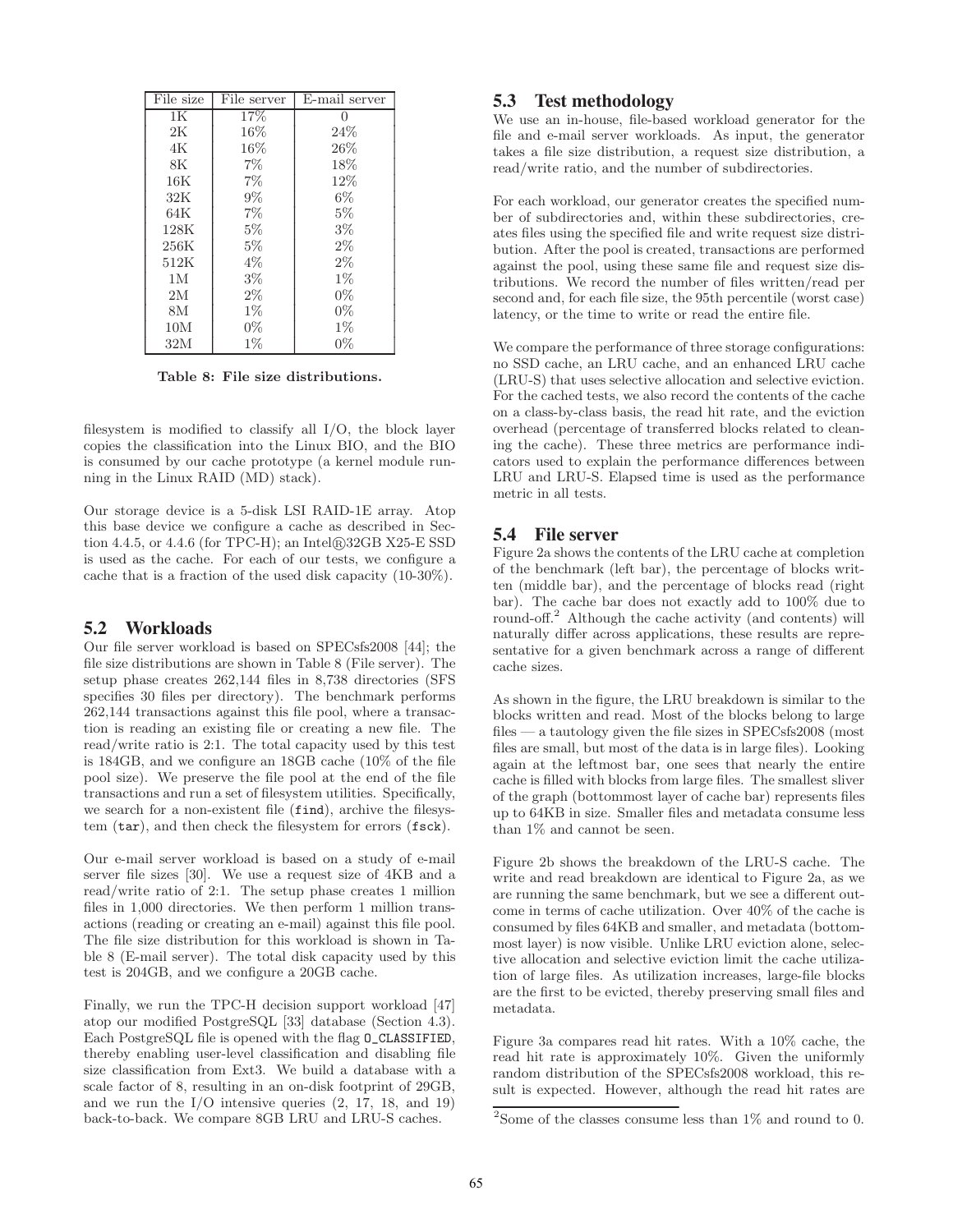| File size | File server | E-mail server |
|-----------|-------------|---------------|
| 1K        | 17%         |               |
| 2K        | 16\%        | 24\%          |
| 4K        | 16%         | 26%           |
| 8K        | $7\%$       | 18%           |
| 16K       | 7%          | 12%           |
| 32K       | $9\%$       | $6\%$         |
| 64K       | 7%          | $5\%$         |
| 128K      | $5\%$       | $3\%$         |
| 256K      | $5\%$       | 2%            |
| 512K      | $4\%$       | $2\%$         |
| 1 M       | $3\%$       | $1\%$         |
| 2M        | $2\%$       | $0\%$         |
| 8M        | $1\%$       | $0\%$         |
| 10M       | $0\%$       | $1\%$         |
| 32M       | $1\%$       | $0\%$         |

**Table 8: File size distributions.**

filesystem is modified to classify all I/O, the block layer copies the classification into the Linux BIO, and the BIO is consumed by our cache prototype (a kernel module running in the Linux RAID (MD) stack).

Our storage device is a 5-disk LSI RAID-1E array. Atop this base device we configure a cache as described in Section 4.4.5, or 4.4.6 (for TPC-H); an Intel $\mathbb{R}$ 32GB X25-E SSD is used as the cache. For each of our tests, we configure a cache that is a fraction of the used disk capacity (10-30%).

# **5.2 Workloads**

Our file server workload is based on SPECsfs2008 [44]; the file size distributions are shown in Table 8 (File server). The setup phase creates 262,144 files in 8,738 directories (SFS specifies 30 files per directory). The benchmark performs 262,144 transactions against this file pool, where a transaction is reading an existing file or creating a new file. The read/write ratio is 2:1. The total capacity used by this test is 184GB, and we configure an 18GB cache (10% of the file pool size). We preserve the file pool at the end of the file transactions and run a set of filesystem utilities. Specifically, we search for a non-existent file (find), archive the filesystem (tar), and then check the filesystem for errors (fsck).

Our e-mail server workload is based on a study of e-mail server file sizes [30]. We use a request size of 4KB and a read/write ratio of 2:1. The setup phase creates 1 million files in 1,000 directories. We then perform 1 million transactions (reading or creating an e-mail) against this file pool. The file size distribution for this workload is shown in Table 8 (E-mail server). The total disk capacity used by this test is 204GB, and we configure a 20GB cache.

Finally, we run the TPC-H decision support workload [47] atop our modified PostgreSQL [33] database (Section 4.3). Each PostgreSQL file is opened with the flag O\_CLASSIFIED, thereby enabling user-level classification and disabling file size classification from Ext3. We build a database with a scale factor of 8, resulting in an on-disk footprint of 29GB, and we run the  $I/O$  intensive queries  $(2, 17, 18, \text{ and } 19)$ back-to-back. We compare 8GB LRU and LRU-S caches.

### **5.3 Test methodology**

We use an in-house, file-based workload generator for the file and e-mail server workloads. As input, the generator takes a file size distribution, a request size distribution, a read/write ratio, and the number of subdirectories.

For each workload, our generator creates the specified number of subdirectories and, within these subdirectories, creates files using the specified file and write request size distribution. After the pool is created, transactions are performed against the pool, using these same file and request size distributions. We record the number of files written/read per second and, for each file size, the 95th percentile (worst case) latency, or the time to write or read the entire file.

We compare the performance of three storage configurations: no SSD cache, an LRU cache, and an enhanced LRU cache (LRU-S) that uses selective allocation and selective eviction. For the cached tests, we also record the contents of the cache on a class-by-class basis, the read hit rate, and the eviction overhead (percentage of transferred blocks related to cleaning the cache). These three metrics are performance indicators used to explain the performance differences between LRU and LRU-S. Elapsed time is used as the performance metric in all tests.

# **5.4 File server**

Figure 2a shows the contents of the LRU cache at completion of the benchmark (left bar), the percentage of blocks written (middle bar), and the percentage of blocks read (right bar). The cache bar does not exactly add to 100% due to round-off.<sup>2</sup> Although the cache activity (and contents) will naturally differ across applications, these results are representative for a given benchmark across a range of different cache sizes.

As shown in the figure, the LRU breakdown is similar to the blocks written and read. Most of the blocks belong to large files — a tautology given the file sizes in SPECsfs2008 (most files are small, but most of the data is in large files). Looking again at the leftmost bar, one sees that nearly the entire cache is filled with blocks from large files. The smallest sliver of the graph (bottommost layer of cache bar) represents files up to 64KB in size. Smaller files and metadata consume less than 1% and cannot be seen.

Figure 2b shows the breakdown of the LRU-S cache. The write and read breakdown are identical to Figure 2a, as we are running the same benchmark, but we see a different outcome in terms of cache utilization. Over 40% of the cache is consumed by files 64KB and smaller, and metadata (bottommost layer) is now visible. Unlike LRU eviction alone, selective allocation and selective eviction limit the cache utilization of large files. As utilization increases, large-file blocks are the first to be evicted, thereby preserving small files and metadata.

Figure 3a compares read hit rates. With a 10% cache, the read hit rate is approximately 10%. Given the uniformly random distribution of the SPECsfs2008 workload, this result is expected. However, although the read hit rates are

<sup>&</sup>lt;sup>2</sup>Some of the classes consume less than  $1\%$  and round to 0.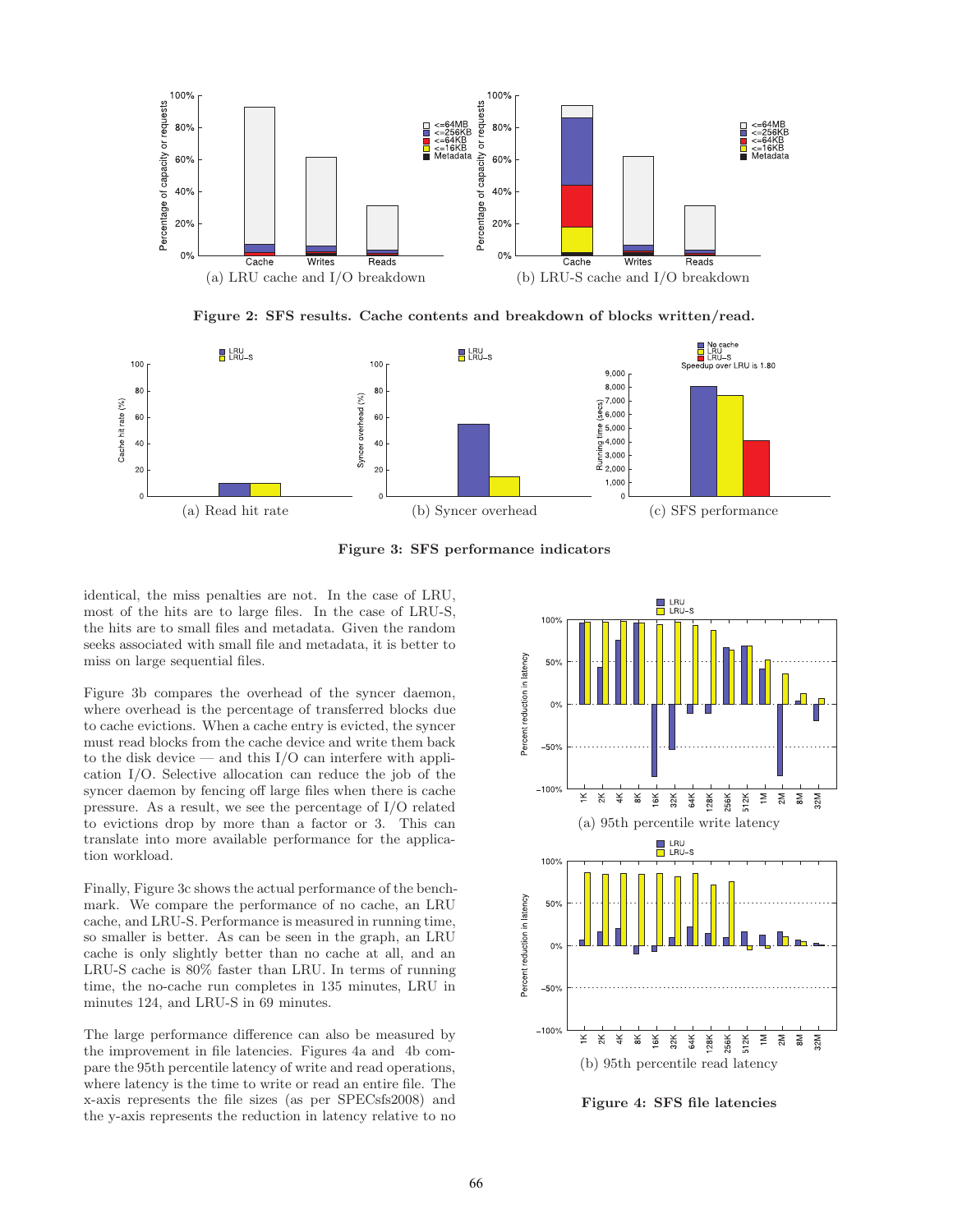

**Figure 2: SFS results. Cache contents and breakdown of blocks written/read.**



**Figure 3: SFS performance indicators**

identical, the miss penalties are not. In the case of LRU, most of the hits are to large files. In the case of LRU-S, the hits are to small files and metadata. Given the random seeks associated with small file and metadata, it is better to miss on large sequential files.

Figure 3b compares the overhead of the syncer daemon, where overhead is the percentage of transferred blocks due to cache evictions. When a cache entry is evicted, the syncer must read blocks from the cache device and write them back to the disk device — and this  $I/O$  can interfere with application I/O. Selective allocation can reduce the job of the syncer daemon by fencing off large files when there is cache pressure. As a result, we see the percentage of I/O related to evictions drop by more than a factor or 3. This can translate into more available performance for the application workload.

Finally, Figure 3c shows the actual performance of the benchmark. We compare the performance of no cache, an LRU cache, and LRU-S. Performance is measured in running time, so smaller is better. As can be seen in the graph, an LRU cache is only slightly better than no cache at all, and an LRU-S cache is 80% faster than LRU. In terms of running time, the no-cache run completes in 135 minutes, LRU in minutes 124, and LRU-S in 69 minutes.

The large performance difference can also be measured by the improvement in file latencies. Figures 4a and 4b compare the 95th percentile latency of write and read operations, where latency is the time to write or read an entire file. The x-axis represents the file sizes (as per SPECsfs2008) and the y-axis represents the reduction in latency relative to no



**Figure 4: SFS file latencies**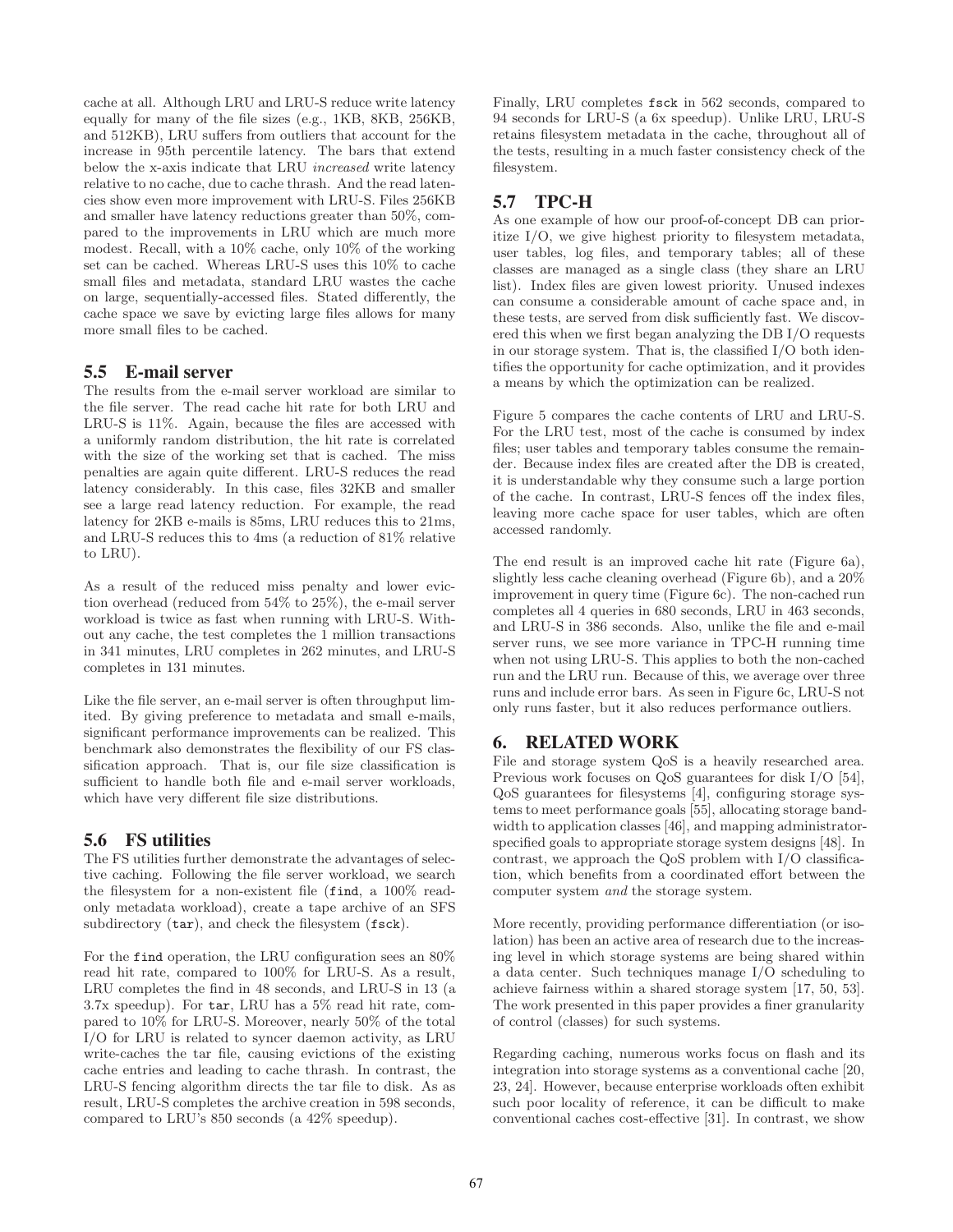cache at all. Although LRU and LRU-S reduce write latency equally for many of the file sizes (e.g., 1KB, 8KB, 256KB, and 512KB), LRU suffers from outliers that account for the increase in 95th percentile latency. The bars that extend below the x-axis indicate that LRU increased write latency relative to no cache, due to cache thrash. And the read latencies show even more improvement with LRU-S. Files 256KB and smaller have latency reductions greater than 50%, compared to the improvements in LRU which are much more modest. Recall, with a 10% cache, only 10% of the working set can be cached. Whereas LRU-S uses this 10% to cache small files and metadata, standard LRU wastes the cache on large, sequentially-accessed files. Stated differently, the cache space we save by evicting large files allows for many more small files to be cached.

### **5.5 E-mail server**

The results from the e-mail server workload are similar to the file server. The read cache hit rate for both LRU and LRU-S is 11%. Again, because the files are accessed with a uniformly random distribution, the hit rate is correlated with the size of the working set that is cached. The miss penalties are again quite different. LRU-S reduces the read latency considerably. In this case, files 32KB and smaller see a large read latency reduction. For example, the read latency for 2KB e-mails is 85ms, LRU reduces this to 21ms, and LRU-S reduces this to 4ms (a reduction of 81% relative to LRU).

As a result of the reduced miss penalty and lower eviction overhead (reduced from 54% to 25%), the e-mail server workload is twice as fast when running with LRU-S. Without any cache, the test completes the 1 million transactions in 341 minutes, LRU completes in 262 minutes, and LRU-S completes in 131 minutes.

Like the file server, an e-mail server is often throughput limited. By giving preference to metadata and small e-mails, significant performance improvements can be realized. This benchmark also demonstrates the flexibility of our FS classification approach. That is, our file size classification is sufficient to handle both file and e-mail server workloads, which have very different file size distributions.

# **5.6 FS utilities**

The FS utilities further demonstrate the advantages of selective caching. Following the file server workload, we search the filesystem for a non-existent file (find, a 100% readonly metadata workload), create a tape archive of an SFS subdirectory (tar), and check the filesystem (fsck).

For the find operation, the LRU configuration sees an 80% read hit rate, compared to 100% for LRU-S. As a result, LRU completes the find in 48 seconds, and LRU-S in 13 (a 3.7x speedup). For tar, LRU has a 5% read hit rate, compared to 10% for LRU-S. Moreover, nearly 50% of the total I/O for LRU is related to syncer daemon activity, as LRU write-caches the tar file, causing evictions of the existing cache entries and leading to cache thrash. In contrast, the LRU-S fencing algorithm directs the tar file to disk. As as result, LRU-S completes the archive creation in 598 seconds, compared to LRU's 850 seconds (a 42% speedup).

Finally, LRU completes fsck in 562 seconds, compared to 94 seconds for LRU-S (a 6x speedup). Unlike LRU, LRU-S retains filesystem metadata in the cache, throughout all of the tests, resulting in a much faster consistency check of the filesystem.

# **5.7 TPC-H**

As one example of how our proof-of-concept DB can prioritize I/O, we give highest priority to filesystem metadata, user tables, log files, and temporary tables; all of these classes are managed as a single class (they share an LRU list). Index files are given lowest priority. Unused indexes can consume a considerable amount of cache space and, in these tests, are served from disk sufficiently fast. We discovered this when we first began analyzing the DB I/O requests in our storage system. That is, the classified I/O both identifies the opportunity for cache optimization, and it provides a means by which the optimization can be realized.

Figure 5 compares the cache contents of LRU and LRU-S. For the LRU test, most of the cache is consumed by index files; user tables and temporary tables consume the remainder. Because index files are created after the DB is created, it is understandable why they consume such a large portion of the cache. In contrast, LRU-S fences off the index files, leaving more cache space for user tables, which are often accessed randomly.

The end result is an improved cache hit rate (Figure 6a), slightly less cache cleaning overhead (Figure 6b), and a 20% improvement in query time (Figure 6c). The non-cached run completes all 4 queries in 680 seconds, LRU in 463 seconds, and LRU-S in 386 seconds. Also, unlike the file and e-mail server runs, we see more variance in TPC-H running time when not using LRU-S. This applies to both the non-cached run and the LRU run. Because of this, we average over three runs and include error bars. As seen in Figure 6c, LRU-S not only runs faster, but it also reduces performance outliers.

# **6. RELATED WORK**

File and storage system QoS is a heavily researched area. Previous work focuses on QoS guarantees for disk I/O [54], QoS guarantees for filesystems [4], configuring storage systems to meet performance goals [55], allocating storage bandwidth to application classes [46], and mapping administratorspecified goals to appropriate storage system designs [48]. In contrast, we approach the QoS problem with I/O classification, which benefits from a coordinated effort between the computer system and the storage system.

More recently, providing performance differentiation (or isolation) has been an active area of research due to the increasing level in which storage systems are being shared within a data center. Such techniques manage I/O scheduling to achieve fairness within a shared storage system [17, 50, 53]. The work presented in this paper provides a finer granularity of control (classes) for such systems.

Regarding caching, numerous works focus on flash and its integration into storage systems as a conventional cache [20, 23, 24]. However, because enterprise workloads often exhibit such poor locality of reference, it can be difficult to make conventional caches cost-effective [31]. In contrast, we show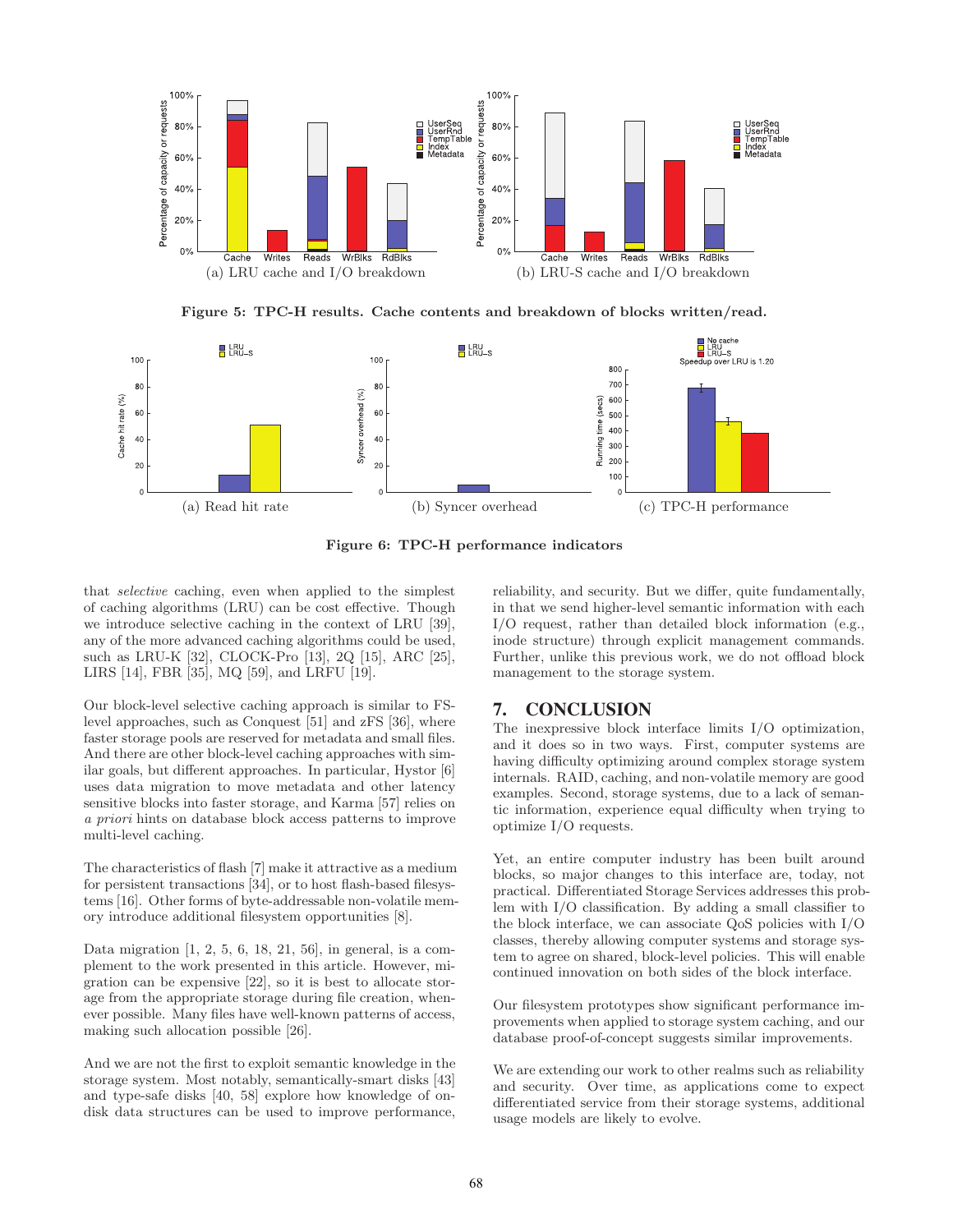

**Figure 5: TPC-H results. Cache contents and breakdown of blocks written/read.**



**Figure 6: TPC-H performance indicators**

that selective caching, even when applied to the simplest of caching algorithms (LRU) can be cost effective. Though we introduce selective caching in the context of LRU [39], any of the more advanced caching algorithms could be used, such as LRU-K [32], CLOCK-Pro [13], 2Q [15], ARC [25], LIRS [14], FBR [35], MQ [59], and LRFU [19].

Our block-level selective caching approach is similar to FSlevel approaches, such as Conquest [51] and zFS [36], where faster storage pools are reserved for metadata and small files. And there are other block-level caching approaches with similar goals, but different approaches. In particular, Hystor [6] uses data migration to move metadata and other latency sensitive blocks into faster storage, and Karma [57] relies on a priori hints on database block access patterns to improve multi-level caching.

The characteristics of flash [7] make it attractive as a medium for persistent transactions [34], or to host flash-based filesystems [16]. Other forms of byte-addressable non-volatile memory introduce additional filesystem opportunities [8].

Data migration [1, 2, 5, 6, 18, 21, 56], in general, is a complement to the work presented in this article. However, migration can be expensive [22], so it is best to allocate storage from the appropriate storage during file creation, whenever possible. Many files have well-known patterns of access, making such allocation possible [26].

And we are not the first to exploit semantic knowledge in the storage system. Most notably, semantically-smart disks [43] and type-safe disks [40, 58] explore how knowledge of ondisk data structures can be used to improve performance, reliability, and security. But we differ, quite fundamentally, in that we send higher-level semantic information with each I/O request, rather than detailed block information (e.g., inode structure) through explicit management commands. Further, unlike this previous work, we do not offload block management to the storage system.

# **7. CONCLUSION**

The inexpressive block interface limits I/O optimization, and it does so in two ways. First, computer systems are having difficulty optimizing around complex storage system internals. RAID, caching, and non-volatile memory are good examples. Second, storage systems, due to a lack of semantic information, experience equal difficulty when trying to optimize I/O requests.

Yet, an entire computer industry has been built around blocks, so major changes to this interface are, today, not practical. Differentiated Storage Services addresses this problem with I/O classification. By adding a small classifier to the block interface, we can associate QoS policies with I/O classes, thereby allowing computer systems and storage system to agree on shared, block-level policies. This will enable continued innovation on both sides of the block interface.

Our filesystem prototypes show significant performance improvements when applied to storage system caching, and our database proof-of-concept suggests similar improvements.

We are extending our work to other realms such as reliability and security. Over time, as applications come to expect differentiated service from their storage systems, additional usage models are likely to evolve.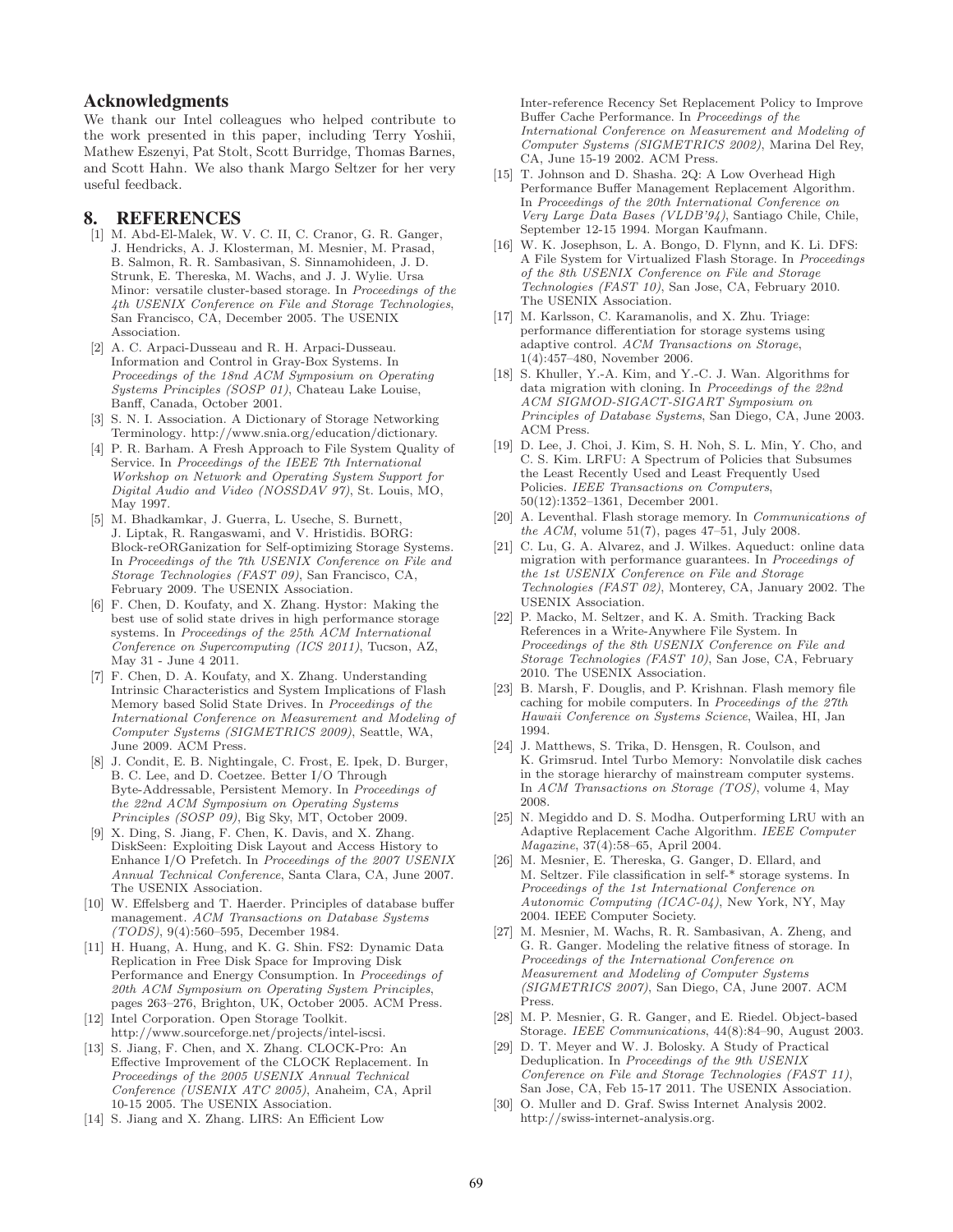#### **Acknowledgments**

We thank our Intel colleagues who helped contribute to the work presented in this paper, including Terry Yoshii, Mathew Eszenyi, Pat Stolt, Scott Burridge, Thomas Barnes, and Scott Hahn. We also thank Margo Seltzer for her very useful feedback.

### **8. REFERENCES**

- [1] M. Abd-El-Malek, W. V. C. II, C. Cranor, G. R. Ganger, J. Hendricks, A. J. Klosterman, M. Mesnier, M. Prasad, B. Salmon, R. R. Sambasivan, S. Sinnamohideen, J. D. Strunk, E. Thereska, M. Wachs, and J. J. Wylie. Ursa Minor: versatile cluster-based storage. In Proceedings of the 4th USENIX Conference on File and Storage Technologies, San Francisco, CA, December 2005. The USENIX Association.
- [2] A. C. Arpaci-Dusseau and R. H. Arpaci-Dusseau. Information and Control in Gray-Box Systems. In Proceedings of the 18nd ACM Symposium on Operating Systems Principles (SOSP 01), Chateau Lake Louise, Banff, Canada, October 2001.
- [3] S. N. I. Association. A Dictionary of Storage Networking Terminology. http://www.snia.org/education/dictionary.
- [4] P. R. Barham. A Fresh Approach to File System Quality of Service. In Proceedings of the IEEE 7th International Workshop on Network and Operating System Support for Digital Audio and Video (NOSSDAV 97), St. Louis, MO, May 1997.
- [5] M. Bhadkamkar, J. Guerra, L. Useche, S. Burnett, J. Liptak, R. Rangaswami, and V. Hristidis. BORG: Block-reORGanization for Self-optimizing Storage Systems. In Proceedings of the 7th USENIX Conference on File and Storage Technologies (FAST 09), San Francisco, CA, February 2009. The USENIX Association.
- [6] F. Chen, D. Koufaty, and X. Zhang. Hystor: Making the best use of solid state drives in high performance storage systems. In Proceedings of the 25th ACM International Conference on Supercomputing (ICS 2011), Tucson, AZ, May 31 - June 4 2011.
- [7] F. Chen, D. A. Koufaty, and X. Zhang. Understanding Intrinsic Characteristics and System Implications of Flash Memory based Solid State Drives. In Proceedings of the International Conference on Measurement and Modeling of Computer Systems (SIGMETRICS 2009), Seattle, WA, June 2009. ACM Press.
- [8] J. Condit, E. B. Nightingale, C. Frost, E. Ipek, D. Burger, B. C. Lee, and D. Coetzee. Better I/O Through Byte-Addressable, Persistent Memory. In Proceedings of the 22nd ACM Symposium on Operating Systems Principles (SOSP 09), Big Sky, MT, October 2009.
- [9] X. Ding, S. Jiang, F. Chen, K. Davis, and X. Zhang. DiskSeen: Exploiting Disk Layout and Access History to Enhance I/O Prefetch. In Proceedings of the 2007 USENIX Annual Technical Conference, Santa Clara, CA, June 2007. The USENIX Association.
- [10] W. Effelsberg and T. Haerder. Principles of database buffer management. ACM Transactions on Database Systems (TODS), 9(4):560–595, December 1984.
- [11] H. Huang, A. Hung, and K. G. Shin. FS2: Dynamic Data Replication in Free Disk Space for Improving Disk Performance and Energy Consumption. In Proceedings of 20th ACM Symposium on Operating System Principles, pages 263–276, Brighton, UK, October 2005. ACM Press.
- [12] Intel Corporation. Open Storage Toolkit. http://www.sourceforge.net/projects/intel-iscsi.
- [13] S. Jiang, F. Chen, and X. Zhang. CLOCK-Pro: An Effective Improvement of the CLOCK Replacement. In Proceedings of the 2005 USENIX Annual Technical Conference (USENIX ATC 2005), Anaheim, CA, April 10-15 2005. The USENIX Association.
- [14] S. Jiang and X. Zhang. LIRS: An Efficient Low

Inter-reference Recency Set Replacement Policy to Improve Buffer Cache Performance. In Proceedings of the International Conference on Measurement and Modeling of Computer Systems (SIGMETRICS 2002), Marina Del Rey, CA, June 15-19 2002. ACM Press.

- [15] T. Johnson and D. Shasha. 2Q: A Low Overhead High Performance Buffer Management Replacement Algorithm. In Proceedings of the 20th International Conference on Very Large Data Bases (VLDB'94), Santiago Chile, Chile, September 12-15 1994. Morgan Kaufmann.
- [16] W. K. Josephson, L. A. Bongo, D. Flynn, and K. Li. DFS: A File System for Virtualized Flash Storage. In Proceedings of the 8th USENIX Conference on File and Storage Technologies (FAST 10), San Jose, CA, February 2010. The USENIX Association.
- [17] M. Karlsson, C. Karamanolis, and X. Zhu. Triage: performance differentiation for storage systems using adaptive control. ACM Transactions on Storage, 1(4):457–480, November 2006.
- [18] S. Khuller, Y.-A. Kim, and Y.-C. J. Wan. Algorithms for data migration with cloning. In Proceedings of the 22nd ACM SIGMOD-SIGACT-SIGART Symposium on Principles of Database Systems, San Diego, CA, June 2003. ACM Press.
- [19] D. Lee, J. Choi, J. Kim, S. H. Noh, S. L. Min, Y. Cho, and C. S. Kim. LRFU: A Spectrum of Policies that Subsumes the Least Recently Used and Least Frequently Used Policies. IEEE Transactions on Computers, 50(12):1352–1361, December 2001.
- [20] A. Leventhal. Flash storage memory. In Communications of the  $ACM$ , volume  $51(7)$ , pages  $47-51$ , July 2008.
- [21] C. Lu, G. A. Alvarez, and J. Wilkes. Aqueduct: online data migration with performance guarantees. In Proceedings of the 1st USENIX Conference on File and Storage Technologies (FAST 02), Monterey, CA, January 2002. The USENIX Association.
- [22] P. Macko, M. Seltzer, and K. A. Smith. Tracking Back References in a Write-Anywhere File System. In Proceedings of the 8th USENIX Conference on File and Storage Technologies (FAST 10), San Jose, CA, February 2010. The USENIX Association.
- [23] B. Marsh, F. Douglis, and P. Krishnan. Flash memory file caching for mobile computers. In Proceedings of the 27th Hawaii Conference on Systems Science, Wailea, HI, Jan 1994.
- [24] J. Matthews, S. Trika, D. Hensgen, R. Coulson, and K. Grimsrud. Intel Turbo Memory: Nonvolatile disk caches in the storage hierarchy of mainstream computer systems. In ACM Transactions on Storage (TOS), volume 4, May 2008.
- [25] N. Megiddo and D. S. Modha. Outperforming LRU with an Adaptive Replacement Cache Algorithm. IEEE Computer Magazine, 37(4):58–65, April 2004.
- [26] M. Mesnier, E. Thereska, G. Ganger, D. Ellard, and M. Seltzer. File classification in self-\* storage systems. In Proceedings of the 1st International Conference on Autonomic Computing (ICAC-04), New York, NY, May 2004. IEEE Computer Society.
- [27] M. Mesnier, M. Wachs, R. R. Sambasivan, A. Zheng, and G. R. Ganger. Modeling the relative fitness of storage. In Proceedings of the International Conference on Measurement and Modeling of Computer Systems (SIGMETRICS 2007), San Diego, CA, June 2007. ACM Press.
- [28] M. P. Mesnier, G. R. Ganger, and E. Riedel. Object-based Storage. IEEE Communications, 44(8):84–90, August 2003.
- [29] D. T. Meyer and W. J. Bolosky. A Study of Practical Deduplication. In Proceedings of the 9th USENIX Conference on File and Storage Technologies (FAST 11), San Jose, CA, Feb 15-17 2011. The USENIX Association.
- [30] O. Muller and D. Graf. Swiss Internet Analysis 2002. http://swiss-internet-analysis.org.